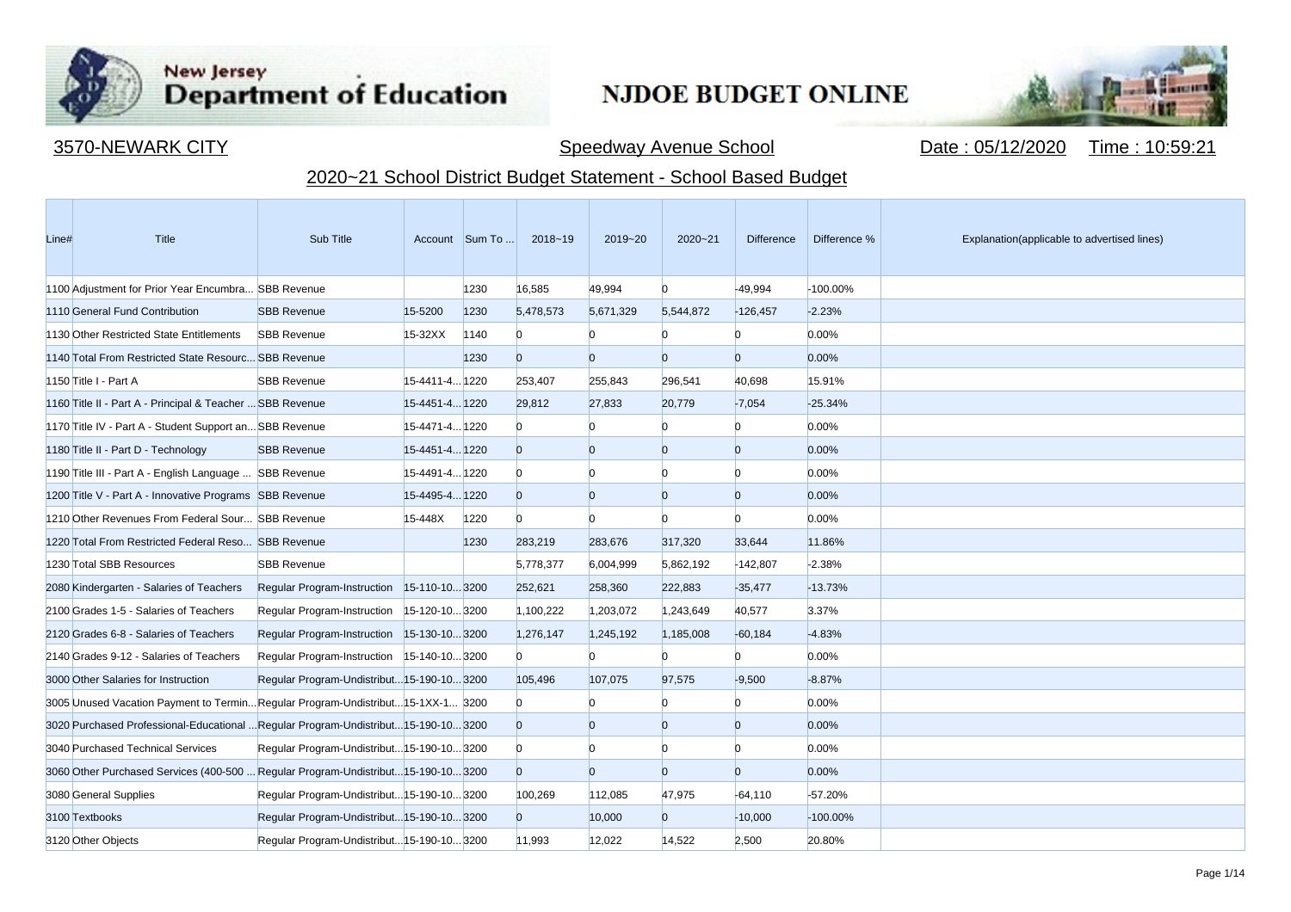

**Contract Contract** 

## New Jersey<br>Department of Education

## **NJDOE BUDGET ONLINE**



3570-NEWARK CITY Speedway Avenue School Date : 05/12/2020 Time : 10:59:21

## 2020~21 School District Budget Statement - School Based Budget

| Line# | Title                                                                               | Sub Title                                  |                | Account Sum To | 2018~19        | 2019~20        | $2020 - 21$    | <b>Difference</b> | Difference % | Explanation(applicable to advertised lines) |
|-------|-------------------------------------------------------------------------------------|--------------------------------------------|----------------|----------------|----------------|----------------|----------------|-------------------|--------------|---------------------------------------------|
|       | 1100 Adjustment for Prior Year Encumbra SBB Revenue                                 |                                            |                | 1230           | 16,585         | 49.994         | $\Omega$       | $-49,994$         | -100.00%     |                                             |
|       | 1110 General Fund Contribution                                                      | <b>SBB Revenue</b>                         | 15-5200        | 1230           | 5,478,573      | 5,671,329      | 5,544,872      | $-126,457$        | $-2.23%$     |                                             |
|       | 1130 Other Restricted State Entitlements                                            | <b>SBB Revenue</b>                         | 15-32XX        | 1140           | $\Omega$       | n              | n              | n                 | 0.00%        |                                             |
|       | 1140 Total From Restricted State Resourc SBB Revenue                                |                                            |                | 1230           | $\Omega$       | $\overline{0}$ | $\overline{0}$ | $\Omega$          | 0.00%        |                                             |
|       | 1150 Title I - Part A                                                               | <b>SBB Revenue</b>                         | 15-4411-4 1220 |                | 253,407        | 255,843        | 296,541        | 40,698            | 15.91%       |                                             |
|       | 1160 Title II - Part A - Principal & Teacher  SBB Revenue                           |                                            | 15-4451-4 1220 |                | 29,812         | 27,833         | 20,779         | $-7,054$          | $-25.34%$    |                                             |
|       | 1170 Title IV - Part A - Student Support an SBB Revenue                             |                                            | 15-4471-4 1220 |                | $\Omega$       |                | $\Omega$       | $\Omega$          | 0.00%        |                                             |
|       | 1180 Title II - Part D - Technology                                                 | <b>SBB Revenue</b>                         | 15-4451-4 1220 |                | $\overline{0}$ | $\overline{0}$ | $\overline{0}$ | $\overline{0}$    | 0.00%        |                                             |
|       | 1190 Title III - Part A - English Language  SBB Revenue                             |                                            | 15-4491-4 1220 |                | $\Omega$       | $\Omega$       | n              | <sup>0</sup>      | 0.00%        |                                             |
|       | 1200 Title V - Part A - Innovative Programs SBB Revenue                             |                                            | 15-4495-4 1220 |                | $\overline{0}$ | $\overline{0}$ | $\Omega$       | $\overline{0}$    | 0.00%        |                                             |
|       | 1210 Other Revenues From Federal Sour SBB Revenue                                   |                                            | 15-448X        | 1220           | $\Omega$       | $\Omega$       | $\Omega$       | <sup>0</sup>      | 0.00%        |                                             |
|       | 1220 Total From Restricted Federal Reso SBB Revenue                                 |                                            |                | 1230           | 283,219        | 283,676        | 317,320        | 33,644            | 11.86%       |                                             |
|       | 1230 Total SBB Resources                                                            | <b>SBB Revenue</b>                         |                |                | 5,778,377      | 6,004,999      | 5,862,192      | $-142,807$        | $-2.38%$     |                                             |
|       | 2080 Kindergarten - Salaries of Teachers                                            | Regular Program-Instruction 15-110-103200  |                |                | 252,621        | 258,360        | 222,883        | $-35,477$         | $-13.73%$    |                                             |
|       | 2100 Grades 1-5 - Salaries of Teachers                                              | Regular Program-Instruction                | 15-120-103200  |                | 1,100,222      | 1,203,072      | 1,243,649      | 40,577            | 3.37%        |                                             |
|       | 2120 Grades 6-8 - Salaries of Teachers                                              | Regular Program-Instruction 15-130-103200  |                |                | 1,276,147      | 1,245,192      | 1,185,008      | $-60,184$         | $-4.83%$     |                                             |
|       | 2140 Grades 9-12 - Salaries of Teachers                                             | Regular Program-Instruction 15-140-103200  |                |                | $\Omega$       | n              |                | <sup>0</sup>      | 0.00%        |                                             |
|       | 3000 Other Salaries for Instruction                                                 | Regular Program-Undistribut 15-190-10 3200 |                |                | 105.496        | 107,075        | 97.575         | $-9.500$          | $-8.87%$     |                                             |
|       | 3005 Unused Vacation Payment to TerminRegular Program-Undistribut15-1XX-1 3200      |                                            |                |                | $\Omega$       |                | n              | $\Omega$          | 0.00%        |                                             |
|       | 3020 Purchased Professional-Educational  Regular Program-Undistribut 15-190-10 3200 |                                            |                |                | $\overline{0}$ | $\overline{0}$ | $\overline{0}$ | $\overline{0}$    | 0.00%        |                                             |
|       | 3040 Purchased Technical Services                                                   | Regular Program-Undistribut 15-190-10 3200 |                |                | $\Omega$       | n              | n              | <sup>0</sup>      | 0.00%        |                                             |
|       | 3060 Other Purchased Services (400-500  Regular Program-Undistribut15-190-103200    |                                            |                |                | $\overline{0}$ | $\overline{0}$ | $\overline{0}$ | $\overline{0}$    | 0.00%        |                                             |
|       | 3080 General Supplies                                                               | Regular Program-Undistribut 15-190-10 3200 |                |                | 100,269        | 112,085        | 47,975         | $-64,110$         | $-57.20%$    |                                             |
|       | 3100 Textbooks                                                                      | Regular Program-Undistribut 15-190-10 3200 |                |                | $\overline{0}$ | 10,000         | $\overline{0}$ | $-10,000$         | $-100.00\%$  |                                             |
|       | 3120 Other Objects                                                                  | Regular Program-Undistribut 15-190-10 3200 |                |                | 11,993         | 12,022         | 14,522         | 2,500             | 20.80%       |                                             |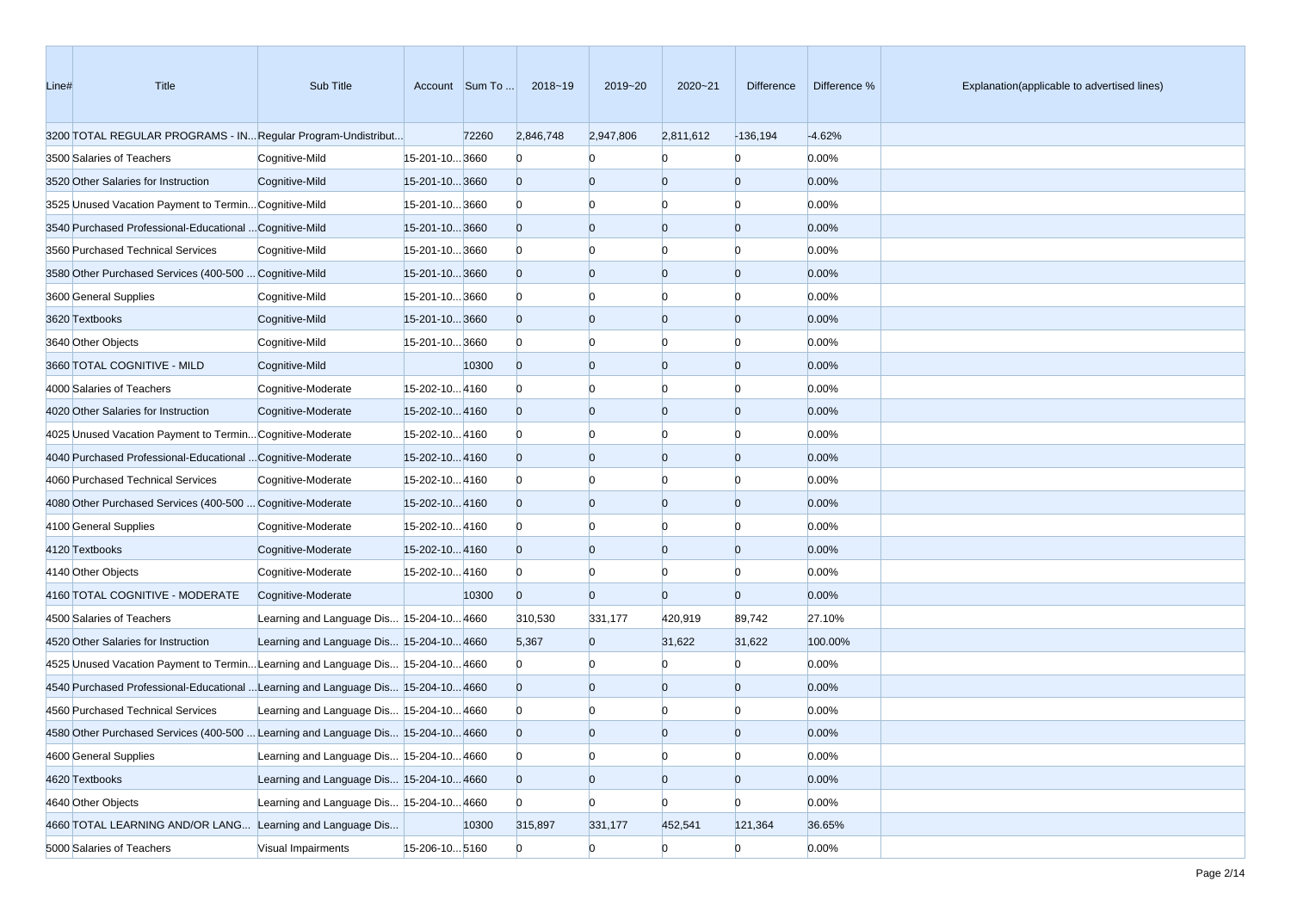| Line# | Title                                                                             | Sub Title                                |                | Account Sum To | 2018~19        | 2019~20        | 2020~21        | Difference     | Difference % | Explanation(applicable to advertised lines) |
|-------|-----------------------------------------------------------------------------------|------------------------------------------|----------------|----------------|----------------|----------------|----------------|----------------|--------------|---------------------------------------------|
|       | 3200 TOTAL REGULAR PROGRAMS - IN Regular Program-Undistribut                      |                                          |                | 72260          | 2,846,748      | 2,947,806      | 2,811,612      | $-136,194$     | $-4.62%$     |                                             |
|       | 3500 Salaries of Teachers                                                         | Cognitive-Mild                           | 15-201-10 3660 |                | $\bf{0}$       | $\Omega$       | n              | $\overline{0}$ | 0.00%        |                                             |
|       | 3520 Other Salaries for Instruction                                               | Cognitive-Mild                           | 15-201-103660  |                | $\overline{0}$ | $\overline{0}$ | $\overline{0}$ | $\overline{0}$ | 0.00%        |                                             |
|       | 3525 Unused Vacation Payment to Termin Cognitive-Mild                             |                                          | 15-201-103660  |                | $\bf{0}$       | $\Omega$       | $\Omega$       | $\Omega$       | 0.00%        |                                             |
|       | 3540 Purchased Professional-Educational  Cognitive-Mild                           |                                          | 15-201-103660  |                | $\overline{0}$ | $\overline{0}$ | $\overline{0}$ | $\Omega$       | 0.00%        |                                             |
|       | 3560 Purchased Technical Services                                                 | Cognitive-Mild                           | 15-201-103660  |                | $\mathbf{0}$   | $\Omega$       | $\Omega$       | n              | 0.00%        |                                             |
|       | 3580 Other Purchased Services (400-500  Cognitive-Mild                            |                                          | 15-201-103660  |                | $\overline{0}$ | $\overline{0}$ | $\overline{0}$ | $\Omega$       | 0.00%        |                                             |
|       | 3600 General Supplies                                                             | Cognitive-Mild                           | 15-201-103660  |                | $\Omega$       | $\Omega$       | $\Omega$       | n              | 0.00%        |                                             |
|       | 3620 Textbooks                                                                    | Cognitive-Mild                           | 15-201-10 3660 |                | $\overline{0}$ | $\overline{0}$ | $\overline{0}$ | $\Omega$       | 0.00%        |                                             |
|       | 3640 Other Objects                                                                | Cognitive-Mild                           | 15-201-103660  |                | $\Omega$       | $\overline{0}$ | $\Omega$       | n              | 0.00%        |                                             |
|       | 3660 TOTAL COGNITIVE - MILD                                                       | Cognitive-Mild                           |                | 10300          | $\overline{0}$ | $\overline{0}$ | $\overline{0}$ | $\overline{0}$ | 0.00%        |                                             |
|       | 4000 Salaries of Teachers                                                         | Cognitive-Moderate                       | 15-202-104160  |                | $\Omega$       | $\bf{0}$       | $\Omega$       | n              | 0.00%        |                                             |
|       | 4020 Other Salaries for Instruction                                               | Cognitive-Moderate                       | 15-202-104160  |                | $\overline{0}$ | $\overline{0}$ | $\overline{0}$ | $\Omega$       | 0.00%        |                                             |
|       | 4025 Unused Vacation Payment to Termin Cognitive-Moderate                         |                                          | 15-202-104160  |                | $\bf{0}$       | $\Omega$       | $\Omega$       | n              | 0.00%        |                                             |
|       | 4040 Purchased Professional-Educational  Cognitive-Moderate                       |                                          | 15-202-104160  |                | $\overline{0}$ | $\overline{0}$ | $\overline{0}$ | $\Omega$       | 0.00%        |                                             |
|       | 4060 Purchased Technical Services                                                 | Cognitive-Moderate                       | 15-202-104160  |                | $\Omega$       | $\Omega$       | $\Omega$       | n              | 0.00%        |                                             |
|       | 4080 Other Purchased Services (400-500  Cognitive-Moderate                        |                                          | 15-202-104160  |                | $\overline{0}$ | $\overline{0}$ | $\overline{0}$ | $\overline{0}$ | 0.00%        |                                             |
|       | 4100 General Supplies                                                             | Cognitive-Moderate                       | 15-202-104160  |                | $\bf{0}$       | $\overline{0}$ | $\Omega$       | n              | 0.00%        |                                             |
|       | 4120 Textbooks                                                                    | Cognitive-Moderate                       | 15-202-104160  |                | $\overline{0}$ | $\overline{0}$ | $\overline{0}$ | $\overline{0}$ | 0.00%        |                                             |
|       | 4140 Other Objects                                                                | Cognitive-Moderate                       | 15-202-104160  |                | $\bf{0}$       | $\overline{0}$ | $\Omega$       | n              | 0.00%        |                                             |
|       | 4160 TOTAL COGNITIVE - MODERATE                                                   | Cognitive-Moderate                       |                | 10300          | $\mathbf{0}$   | $\overline{0}$ | $\Omega$       | $\overline{0}$ | 0.00%        |                                             |
|       | 4500 Salaries of Teachers                                                         | Learning and Language Dis 15-204-10 4660 |                |                | 310,530        | 331,177        | 420,919        | 89,742         | 27.10%       |                                             |
|       | 4520 Other Salaries for Instruction                                               | Learning and Language Dis 15-204-10 4660 |                |                | 5,367          | $\overline{0}$ | 31,622         | 31,622         | 100.00%      |                                             |
|       | 4525 Unused Vacation Payment to Termin Learning and Language Dis 15-204-10 4660   |                                          |                |                | $\Omega$       | $\Omega$       |                | $\Omega$       | 0.00%        |                                             |
|       | 4540 Purchased Professional-Educational  Learning and Language Dis 15-204-10 4660 |                                          |                |                | $\overline{0}$ | $\overline{0}$ | $\overline{0}$ | $\overline{0}$ | 0.00%        |                                             |
|       | 4560 Purchased Technical Services                                                 | Learning and Language Dis 15-204-10 4660 |                |                | $\mathbf{0}$   |                |                |                | 0.00%        |                                             |
|       | 4580 Other Purchased Services (400-500  Learning and Language Dis 15-204-10 4660  |                                          |                |                | $\Omega$       | $\Omega$       | $\Omega$       |                | 0.00%        |                                             |
|       | 4600 General Supplies                                                             | Learning and Language Dis 15-204-10 4660 |                |                | $\overline{0}$ | $\overline{0}$ | $\overline{0}$ | $\overline{0}$ | 0.00%        |                                             |
|       | 4620 Textbooks                                                                    | Learning and Language Dis 15-204-10 4660 |                |                | $\overline{0}$ | $\overline{0}$ | $\overline{0}$ | $\mathbf{0}$   | 0.00%        |                                             |
|       | 4640 Other Objects                                                                | Learning and Language Dis 15-204-10 4660 |                |                | $\Omega$       | $\overline{0}$ | $\overline{0}$ | $\overline{0}$ | 0.00%        |                                             |
|       | 4660 TOTAL LEARNING AND/OR LANG Learning and Language Dis                         |                                          |                | 10300          | 315,897        | 331,177        | 452,541        | 121,364        | 36.65%       |                                             |
|       | 5000 Salaries of Teachers                                                         | Visual Impairments                       | 15-206-10 5160 |                | $\overline{0}$ | $\overline{0}$ | $\Omega$       | $\overline{0}$ | 0.00%        |                                             |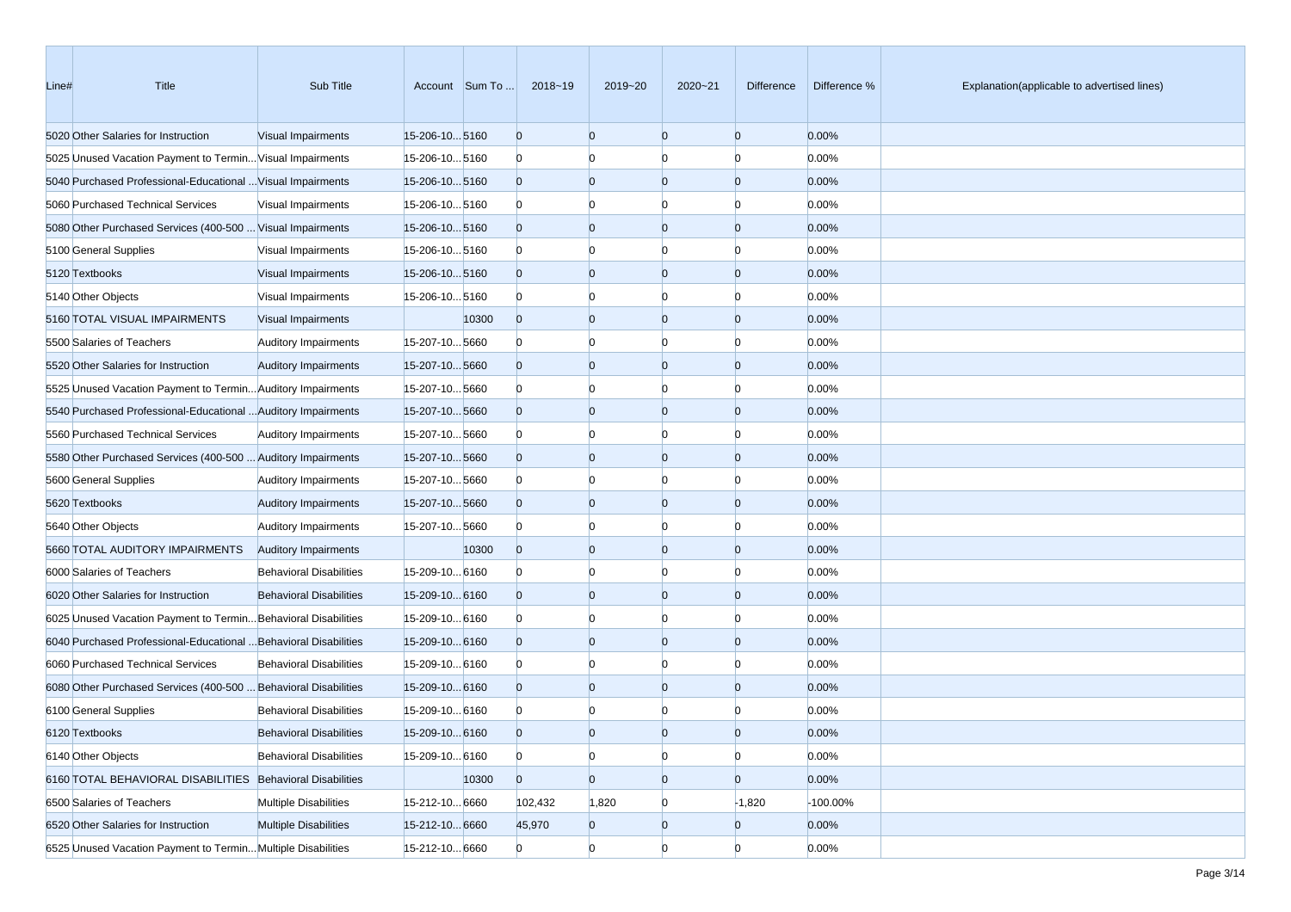| Line# | Title                                                            | Sub Title                      |                      | Account Sum To | 2018~19        | 2019~20        | 2020~21        | Difference     | Difference % | Explanation(applicable to advertised lines) |
|-------|------------------------------------------------------------------|--------------------------------|----------------------|----------------|----------------|----------------|----------------|----------------|--------------|---------------------------------------------|
|       | 5020 Other Salaries for Instruction                              | Visual Impairments             | 15-206-105160        |                | $\overline{0}$ | $\overline{0}$ | $\overline{0}$ | $\overline{0}$ | 0.00%        |                                             |
|       | 5025 Unused Vacation Payment to Termin Visual Impairments        |                                | 15-206-105160        |                | $\mathbf{0}$   | $\Omega$       | $\Omega$       | $\Omega$       | 0.00%        |                                             |
|       | 5040 Purchased Professional-Educational  Visual Impairments      |                                | 15-206-105160        |                | $\overline{0}$ | $\overline{0}$ | $\overline{0}$ | $\overline{0}$ | 0.00%        |                                             |
|       | 5060 Purchased Technical Services                                | Visual Impairments             | 15-206-105160        |                | $\mathbf{0}$   | $\Omega$       | $\Omega$       | n              | 0.00%        |                                             |
|       | 5080 Other Purchased Services (400-500  Visual Impairments       |                                | 15-206-105160        |                | $\overline{0}$ | $\Omega$       | $\overline{0}$ | $\Omega$       | 0.00%        |                                             |
|       | 5100 General Supplies                                            | Visual Impairments             | 15-206-10 5160       |                | $\mathbf{0}$   | $\Omega$       | $\Omega$       | n              | 0.00%        |                                             |
|       | 5120 Textbooks                                                   | Visual Impairments             | 15-206-10 5160       |                | $\overline{0}$ | $\overline{0}$ | $\overline{0}$ | $\overline{0}$ | 0.00%        |                                             |
|       | 5140 Other Objects                                               | Visual Impairments             | 15-206-10 5160       |                | $\mathbf{0}$   | $\Omega$       | $\Omega$       | $\Omega$       | 0.00%        |                                             |
|       | 5160 TOTAL VISUAL IMPAIRMENTS                                    | Visual Impairments             |                      | 10300          | $\overline{0}$ | $\Omega$       | $\overline{0}$ | $\Omega$       | 0.00%        |                                             |
|       | 5500 Salaries of Teachers                                        | <b>Auditory Impairments</b>    | 15-207-105660        |                | $\mathbf{0}$   | $\Omega$       | $\Omega$       | O              | 0.00%        |                                             |
|       | 5520 Other Salaries for Instruction                              | <b>Auditory Impairments</b>    | 15-207-105660        |                | $\overline{0}$ | $\Omega$       | $\overline{0}$ | $\Omega$       | 0.00%        |                                             |
|       | 5525 Unused Vacation Payment to Termin Auditory Impairments      |                                | 15-207-10 5660       |                | $\mathbf{0}$   | $\Omega$       | $\Omega$       | n              | 0.00%        |                                             |
|       | 5540 Purchased Professional-Educational  Auditory Impairments    |                                | 15-207-105660        |                | $\overline{0}$ | $\Omega$       | $\overline{0}$ | $\overline{0}$ | 0.00%        |                                             |
|       | 5560 Purchased Technical Services                                | <b>Auditory Impairments</b>    | 15-207-105660        |                | $\mathbf{0}$   | $\Omega$       | $\Omega$       | $\Omega$       | 0.00%        |                                             |
|       | 5580 Other Purchased Services (400-500  Auditory Impairments     |                                | 15-207-105660        |                | $\overline{0}$ | $\Omega$       | $\overline{0}$ | $\Omega$       | 0.00%        |                                             |
|       | 5600 General Supplies                                            | <b>Auditory Impairments</b>    | 15-207-105660        |                | $\mathbf{0}$   | $\Omega$       | $\Omega$       | n              | 0.00%        |                                             |
|       | 5620 Textbooks                                                   | <b>Auditory Impairments</b>    | 15-207-105660        |                | $\overline{0}$ | $\Omega$       | $\overline{0}$ | $\Omega$       | 0.00%        |                                             |
|       | 5640 Other Objects                                               | <b>Auditory Impairments</b>    | 15-207-105660        |                | $\mathbf{0}$   | $\Omega$       | $\Omega$       | n              | 0.00%        |                                             |
|       | 5660 TOTAL AUDITORY IMPAIRMENTS                                  | <b>Auditory Impairments</b>    |                      | 10300          | $\overline{0}$ | $\Omega$       | $\overline{0}$ | $\overline{0}$ | 0.00%        |                                             |
|       | 6000 Salaries of Teachers                                        | <b>Behavioral Disabilities</b> | 15-209-10 6160       |                | $\mathbf{0}$   | $\Omega$       | $\Omega$       | $\Omega$       | 0.00%        |                                             |
|       | 6020 Other Salaries for Instruction                              | <b>Behavioral Disabilities</b> | 15-209-10 6160       |                | $\overline{0}$ | $\Omega$       | $\overline{0}$ | $\Omega$       | 0.00%        |                                             |
|       | 6025 Unused Vacation Payment to Termin Behavioral Disabilities   |                                | 15-209-10 6160       |                | $\mathbf{0}$   | $\Omega$       | $\Omega$       | O              | 0.00%        |                                             |
|       | 6040 Purchased Professional-Educational  Behavioral Disabilities |                                | $15 - 209 - 10 6160$ |                | $\overline{0}$ | $\Omega$       | $\overline{0}$ | $\Omega$       | 0.00%        |                                             |
|       | 6060 Purchased Technical Services                                | <b>Behavioral Disabilities</b> | 15-209-10 6160       |                | $\mathbf{0}$   | $\Omega$       | $\Omega$       | n              | 0.00%        |                                             |
|       | 6080 Other Purchased Services (400-500  Behavioral Disabilities  |                                | $15 - 209 - 10 6160$ |                | $\overline{0}$ | $\Omega$       | $\overline{0}$ | $\Omega$       | 0.00%        |                                             |
|       | 6100 General Supplies                                            | <b>Behavioral Disabilities</b> | 15-209-10 6160       |                | $\mathbf{0}$   |                |                |                | 0.00%        |                                             |
|       | 6120 Textbooks                                                   | <b>Behavioral Disabilities</b> | 15-209-10 6160       |                | $\Omega$       | $\Omega$       | $\Omega$       | n              | 0.00%        |                                             |
|       | 6140 Other Objects                                               | <b>Behavioral Disabilities</b> | 15-209-10 6160       |                | $\overline{0}$ | $\bf{0}$       | $\overline{0}$ | $\overline{0}$ | 0.00%        |                                             |
|       | 6160 TOTAL BEHAVIORAL DISABILITIES Behavioral Disabilities       |                                |                      | 10300          | $\overline{0}$ | $\overline{0}$ | $\overline{0}$ | $\overline{0}$ | 0.00%        |                                             |
|       | 6500 Salaries of Teachers                                        | <b>Multiple Disabilities</b>   | 15-212-10 6660       |                | 102,432        | 1,820          | $\overline{0}$ | $-1,820$       | -100.00%     |                                             |
|       | 6520 Other Salaries for Instruction                              | <b>Multiple Disabilities</b>   | 15-212-10 6660       |                | 45,970         | $\mathbf{0}$   | $\overline{0}$ | $\overline{0}$ | 0.00%        |                                             |
|       | 6525 Unused Vacation Payment to Termin Multiple Disabilities     |                                | 15-212-10 6660       |                | $\overline{0}$ | $\overline{0}$ | $\overline{0}$ | $\overline{0}$ | 0.00%        |                                             |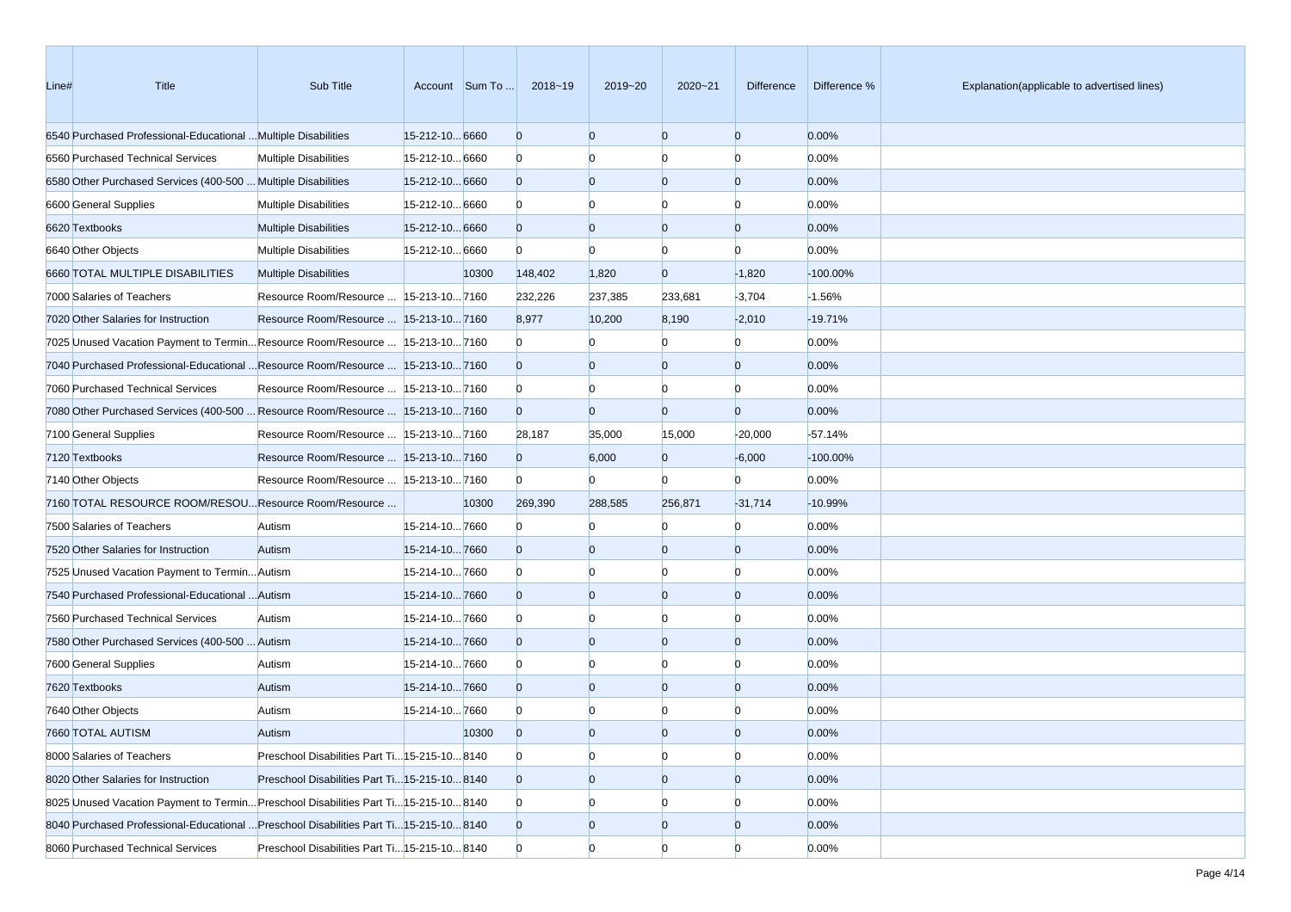| Line# | Title                                                                                 | Sub Title                                     |                | Account Sum To | 2018~19        | 2019~20        | 2020~21        | Difference     | Difference % | Explanation(applicable to advertised lines) |
|-------|---------------------------------------------------------------------------------------|-----------------------------------------------|----------------|----------------|----------------|----------------|----------------|----------------|--------------|---------------------------------------------|
|       | 6540 Purchased Professional-Educational  Multiple Disabilities                        |                                               | 15-212-10 6660 |                | $\overline{0}$ | $\overline{0}$ | $\overline{0}$ | $\overline{0}$ | 0.00%        |                                             |
|       | 6560 Purchased Technical Services                                                     | <b>Multiple Disabilities</b>                  | 15-212-10 6660 |                | $\bf{0}$       | $\Omega$       | $\Omega$       | $\Omega$       | 0.00%        |                                             |
|       | 6580 Other Purchased Services (400-500  Multiple Disabilities                         |                                               | 15-212-10 6660 |                | $\overline{0}$ | $\overline{0}$ | $\overline{0}$ | $\overline{0}$ | 0.00%        |                                             |
|       | 6600 General Supplies                                                                 | <b>Multiple Disabilities</b>                  | 15-212-10 6660 |                | $\bf{0}$       | $\Omega$       | $\Omega$       | $\Omega$       | 0.00%        |                                             |
|       | 6620 Textbooks                                                                        | <b>Multiple Disabilities</b>                  | 15-212-10 6660 |                | $\overline{0}$ | $\overline{0}$ | $\overline{0}$ | $\Omega$       | 0.00%        |                                             |
|       | 6640 Other Objects                                                                    | <b>Multiple Disabilities</b>                  | 15-212-10 6660 |                | $\Omega$       | $\Omega$       | $\Omega$       | n              | 0.00%        |                                             |
|       | 6660 TOTAL MULTIPLE DISABILITIES                                                      | <b>Multiple Disabilities</b>                  |                | 10300          | 148,402        | 1,820          | $\Omega$       | $-1,820$       | $-100.00\%$  |                                             |
|       | 7000 Salaries of Teachers                                                             | Resource Room/Resource   15-213-10 7160       |                |                | 232,226        | 237,385        | 233,681        | $-3,704$       | $-1.56%$     |                                             |
|       | 7020 Other Salaries for Instruction                                                   | Resource Room/Resource    15-213-10 7160      |                |                | 8,977          | 10,200         | 8,190          | $-2,010$       | $-19.71%$    |                                             |
|       | 7025 Unused Vacation Payment to TerminResource Room/Resource  15-213-107160           |                                               |                |                | $\bf{0}$       | $\Omega$       | n              | $\Omega$       | 0.00%        |                                             |
|       | 7040 Purchased Professional-Educational  Resource Room/Resource  15-213-10 7160       |                                               |                |                | $\overline{0}$ | $\overline{0}$ | $\overline{0}$ | $\mathbf{0}$   | 0.00%        |                                             |
|       | 7060 Purchased Technical Services                                                     | Resource Room/Resource   15-213-10 7160       |                |                | $\Omega$       | $\overline{0}$ | $\Omega$       | $\Omega$       | 0.00%        |                                             |
|       | 7080 Other Purchased Services (400-500  Resource Room/Resource  15-213-10 7160        |                                               |                |                | $\overline{0}$ | $\Omega$       | $\Omega$       | $\overline{0}$ | 0.00%        |                                             |
|       | 7100 General Supplies                                                                 | Resource Room/Resource   15-213-10 7160       |                |                | 28,187         | 35,000         | 15,000         | $-20,000$      | $-57.14%$    |                                             |
|       | 7120 Textbooks                                                                        | Resource Room/Resource   15-213-10 7160       |                |                | $\overline{0}$ | 6,000          | $\overline{0}$ | $-6,000$       | $-100.00\%$  |                                             |
|       | 7140 Other Objects                                                                    | Resource Room/Resource   15-213-10 7160       |                |                | $\Omega$       | $\Omega$       | $\Omega$       | $\Omega$       | 0.00%        |                                             |
|       | 7160 TOTAL RESOURCE ROOM/RESOU Resource Room/Resource                                 |                                               |                | 10300          | 269,390        | 288,585        | 256,871        | $-31,714$      | $-10.99%$    |                                             |
|       | 7500 Salaries of Teachers                                                             | Autism                                        | 15-214-107660  |                | $\mathbf{0}$   | $\Omega$       | $\Omega$       | $\Omega$       | 0.00%        |                                             |
|       | 7520 Other Salaries for Instruction                                                   | Autism                                        | 15-214-107660  |                | $\overline{0}$ | $\overline{0}$ | $\overline{0}$ | $\overline{0}$ | 0.00%        |                                             |
|       | 7525 Unused Vacation Payment to Termin Autism                                         |                                               | 15-214-107660  |                | $\Omega$       | $\overline{0}$ | $\Omega$       | $\Omega$       | 0.00%        |                                             |
|       | 7540 Purchased Professional-Educational  Autism                                       |                                               | 15-214-107660  |                | $\overline{0}$ | $\overline{0}$ | $\overline{0}$ | $\Omega$       | 0.00%        |                                             |
|       | 7560 Purchased Technical Services                                                     | Autism                                        | 15-214-107660  |                | $\Omega$       | $\Omega$       | $\Omega$       | n              | 0.00%        |                                             |
|       | 7580 Other Purchased Services (400-500  Autism                                        |                                               | 15-214-107660  |                | $\overline{0}$ | $\overline{0}$ | $\overline{0}$ | $\Omega$       | 0.00%        |                                             |
|       | 7600 General Supplies                                                                 | Autism                                        | 15-214-107660  |                | $\Omega$       | $\Omega$       | $\Omega$       | n              | 0.00%        |                                             |
|       | 7620 Textbooks                                                                        | Autism                                        | 15-214-107660  |                | $\overline{0}$ | $\overline{0}$ | $\overline{0}$ | $\Omega$       | 0.00%        |                                             |
|       | 7640 Other Objects                                                                    | Autism                                        | 15-214-107660  |                | $\Omega$       |                | $\Omega$       |                | 0.00%        |                                             |
|       | 7660 TOTAL AUTISM                                                                     | Autism                                        |                | 10300          | $\Omega$       | $\Omega$       | $\Omega$       |                | 0.00%        |                                             |
|       | 8000 Salaries of Teachers                                                             | Preschool Disabilities Part Ti 15-215-10 8140 |                |                | $\mathbf{0}$   | $\overline{0}$ | $\overline{0}$ | $\overline{0}$ | 0.00%        |                                             |
|       | 8020 Other Salaries for Instruction                                                   | Preschool Disabilities Part Ti 15-215-10 8140 |                |                | $\overline{0}$ | $\overline{0}$ | $\overline{0}$ | $\overline{0}$ | 0.00%        |                                             |
|       | 8025 Unused Vacation Payment to Termin Preschool Disabilities Part Ti 15-215-10 8140  |                                               |                |                | $\mathbf{0}$   | $\bf{0}$       | $\bf{0}$       | n              | 0.00%        |                                             |
|       | 8040 Purchased Professional-Educational  Preschool Disabilities Part Ti15-215-10 8140 |                                               |                |                | $\overline{0}$ | $\mathbf{0}$   | $\mathbf{0}$   | $\overline{0}$ | 0.00%        |                                             |
|       | 8060 Purchased Technical Services                                                     | Preschool Disabilities Part Ti 15-215-10 8140 |                |                | $\overline{0}$ | $\overline{0}$ | $\Omega$       | $\Omega$       | 0.00%        |                                             |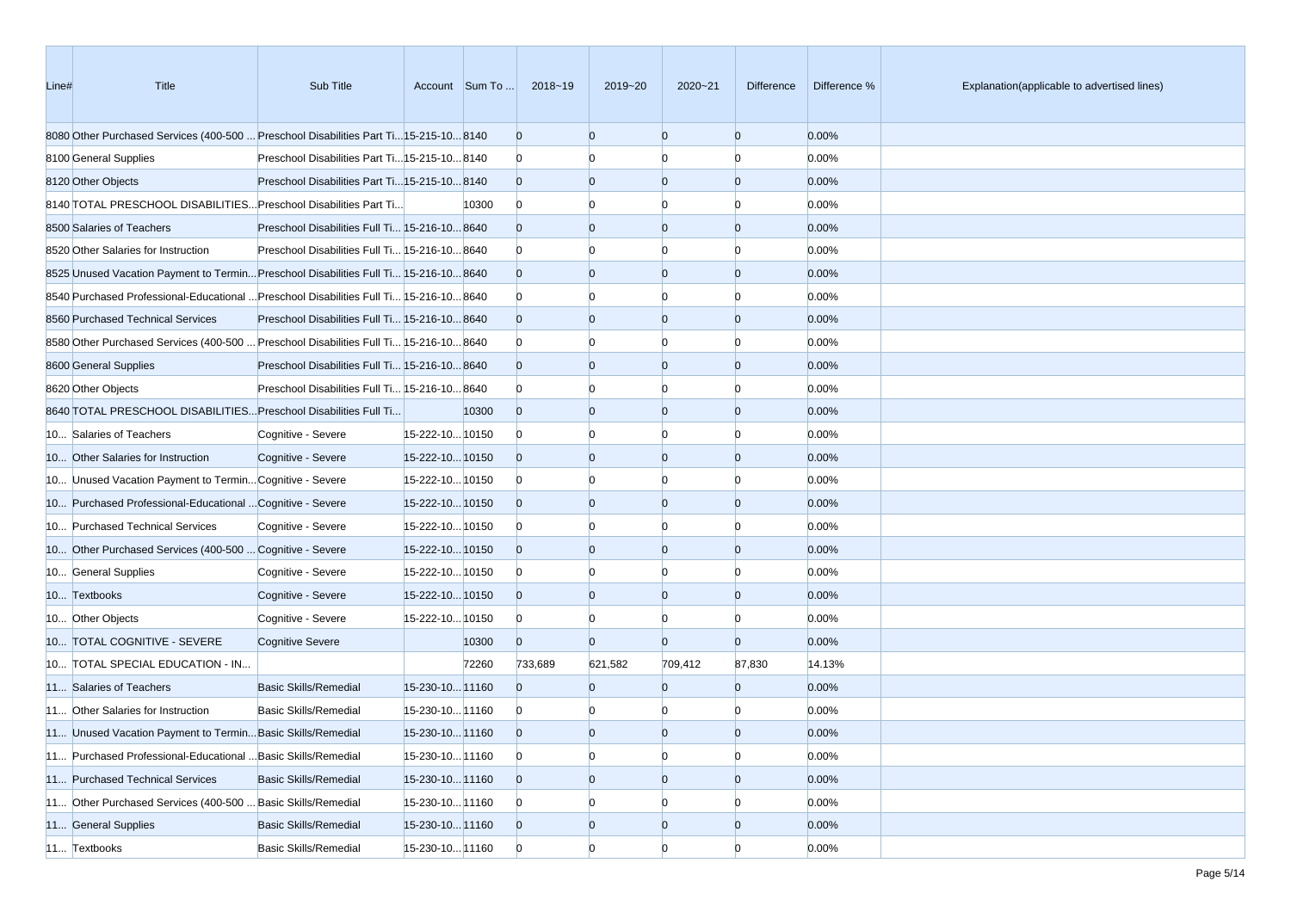| Line# | Title                                                                                  | Sub Title                                     |                 | Account Sum To | 2018~19        | 2019~20        | 2020~21        | Difference     | Difference % | Explanation(applicable to advertised lines) |
|-------|----------------------------------------------------------------------------------------|-----------------------------------------------|-----------------|----------------|----------------|----------------|----------------|----------------|--------------|---------------------------------------------|
|       | 8080 Other Purchased Services (400-500  Preschool Disabilities Part Ti15-215-10 8140   |                                               |                 |                | $\mathbf{0}$   | $\overline{0}$ | $\overline{0}$ | $\mathbf{0}$   | 0.00%        |                                             |
|       | 8100 General Supplies                                                                  | Preschool Disabilities Part Ti 15-215-10 8140 |                 |                | $\mathbf{0}$   | n              |                | n              | 0.00%        |                                             |
|       | 8120 Other Objects                                                                     | Preschool Disabilities Part Ti 15-215-10 8140 |                 |                | $\overline{0}$ | $\overline{0}$ | $\overline{0}$ | $\mathbf{0}$   | 0.00%        |                                             |
|       | 8140 TOTAL PRESCHOOL DISABILITIES Preschool Disabilities Part Ti                       |                                               |                 | 10300          | $\mathbf{0}$   | $\Omega$       | n              | n              | 0.00%        |                                             |
|       | 8500 Salaries of Teachers                                                              | Preschool Disabilities Full Ti 15-216-10 8640 |                 |                | $\mathbf{0}$   | $\overline{0}$ | $\overline{0}$ | $\mathbf{0}$   | 0.00%        |                                             |
|       | 8520 Other Salaries for Instruction                                                    | Preschool Disabilities Full Ti 15-216-10 8640 |                 |                | $\mathbf{0}$   | $\Omega$       | $\Omega$       | $\Omega$       | 0.00%        |                                             |
|       | 8525 Unused Vacation Payment to Termin Preschool Disabilities Full Ti 15-216-10 8640   |                                               |                 |                | $\overline{0}$ | $\overline{0}$ | $\overline{0}$ | $\mathbf{0}$   | 0.00%        |                                             |
|       | 8640 Purchased Professional-Educational  Preschool Disabilities Full Ti 15-216-10 8640 |                                               |                 |                | $\bf{0}$       | n              | n              | n              | 0.00%        |                                             |
|       | 8560 Purchased Technical Services                                                      | Preschool Disabilities Full Ti 15-216-10 8640 |                 |                | $\overline{0}$ | $\overline{0}$ | $\overline{0}$ | $\mathbf{0}$   | 0.00%        |                                             |
|       | 8680 Other Purchased Services (400-500  Preschool Disabilities Full Ti 15-216-10 8640  |                                               |                 |                | $\mathbf{0}$   | n              |                | n              | 0.00%        |                                             |
|       | 8600 General Supplies                                                                  | Preschool Disabilities Full Ti 15-216-10 8640 |                 |                | $\overline{0}$ | $\overline{0}$ | $\overline{0}$ | $\mathbf{0}$   | 0.00%        |                                             |
|       | 8620 Other Objects                                                                     | Preschool Disabilities Full Ti 15-216-10 8640 |                 |                | $\bf{0}$       | $\Omega$       | n              | n              | 0.00%        |                                             |
|       | 8640 TOTAL PRESCHOOL DISABILITIES Preschool Disabilities Full Ti                       |                                               |                 | 10300          | $\mathbf{0}$   | $\overline{0}$ | $\overline{0}$ | $\mathbf{0}$   | 0.00%        |                                             |
|       | 10 Salaries of Teachers                                                                | Cognitive - Severe                            | 15-222-10 10150 |                | $\bf{0}$       | $\Omega$       | $\Omega$       | n              | 0.00%        |                                             |
|       | 10 Other Salaries for Instruction                                                      | Cognitive - Severe                            | 15-222-1010150  |                | $\overline{0}$ | $\overline{0}$ | $\overline{0}$ | $\mathbf{0}$   | 0.00%        |                                             |
|       | 10 Unused Vacation Payment to Termin Cognitive - Severe                                |                                               | 15-222-10 10150 |                | $\bf{0}$       | n              | n              | n              | 0.00%        |                                             |
|       | 10 Purchased Professional-Educational  Cognitive - Severe                              |                                               | 15-222-10 10150 |                | $\overline{0}$ | $\overline{0}$ | $\overline{0}$ | $\mathbf{0}$   | 0.00%        |                                             |
|       | 10 Purchased Technical Services                                                        | Cognitive - Severe                            | 15-222-10 10150 |                | $\bf{0}$       | n              |                | n              | 0.00%        |                                             |
|       | 10 Other Purchased Services (400-500  Cognitive - Severe                               |                                               | 15-222-10 10150 |                | $\overline{0}$ | $\overline{0}$ | $\overline{0}$ | $\mathbf{0}$   | 0.00%        |                                             |
|       | 10 General Supplies                                                                    | Cognitive - Severe                            | 15-222-10 10150 |                | $\bf{0}$       | $\Omega$       | n              | $\Omega$       | 0.00%        |                                             |
|       | 10 Textbooks                                                                           | Cognitive - Severe                            | 15-222-10 10150 |                | $\overline{0}$ | $\overline{0}$ | $\overline{0}$ | $\mathbf{0}$   | 0.00%        |                                             |
|       | 10 Other Objects                                                                       | Cognitive - Severe                            | 15-222-10 10150 |                | $\bf{0}$       | $\Omega$       | n              | $\Omega$       | 0.00%        |                                             |
|       | 10 TOTAL COGNITIVE - SEVERE                                                            | <b>Cognitive Severe</b>                       |                 | 10300          | $\overline{0}$ | $\overline{0}$ | $\Omega$       | $\mathbf{0}$   | 0.00%        |                                             |
|       | 10 TOTAL SPECIAL EDUCATION - IN                                                        |                                               |                 | 72260          | 733,689        | 621,582        | 709,412        | 87,830         | 14.13%       |                                             |
|       | 11 Salaries of Teachers                                                                | <b>Basic Skills/Remedial</b>                  | 15-230-10 11160 |                | $\Omega$       | $\overline{0}$ | $\Omega$       | $\overline{0}$ | 0.00%        |                                             |
|       | 11 Other Salaries for Instruction                                                      | <b>Basic Skills/Remedial</b>                  | 15-230-10 11160 |                | $\bf{0}$       | n              |                | n              | 0.00%        |                                             |
|       | 11 Unused Vacation Payment to Termin Basic Skills/Remedial                             |                                               | 15-230-10 11160 |                | $\Omega$       | $\Omega$       | $\Omega$       | $\Omega$       | 0.00%        |                                             |
|       | 11 Purchased Professional-Educational  Basic Skills/Remedial                           |                                               | 15-230-10 11160 |                | $\overline{0}$ | $\overline{0}$ | $\overline{0}$ | $\overline{0}$ | 0.00%        |                                             |
|       | 11 Purchased Technical Services                                                        | <b>Basic Skills/Remedial</b>                  | 15-230-10 11160 |                | $\overline{0}$ | $\mathbf{0}$   | $\overline{0}$ | $\overline{0}$ | 0.00%        |                                             |
|       | 11 Other Purchased Services (400-500  Basic Skills/Remedial                            |                                               | 15-230-10 11160 |                | $\bf{0}$       | $\overline{0}$ |                | $\Omega$       | 0.00%        |                                             |
|       | 11 General Supplies                                                                    | <b>Basic Skills/Remedial</b>                  | 15-230-10 11160 |                | $\overline{0}$ | $\mathbf{0}$   | $\mathbf{0}$   | $\overline{0}$ | 0.00%        |                                             |
|       | 11 Textbooks                                                                           | Basic Skills/Remedial                         | 15-230-10 11160 |                | $\overline{0}$ | $\overline{0}$ | $\Omega$       | $\Omega$       | 0.00%        |                                             |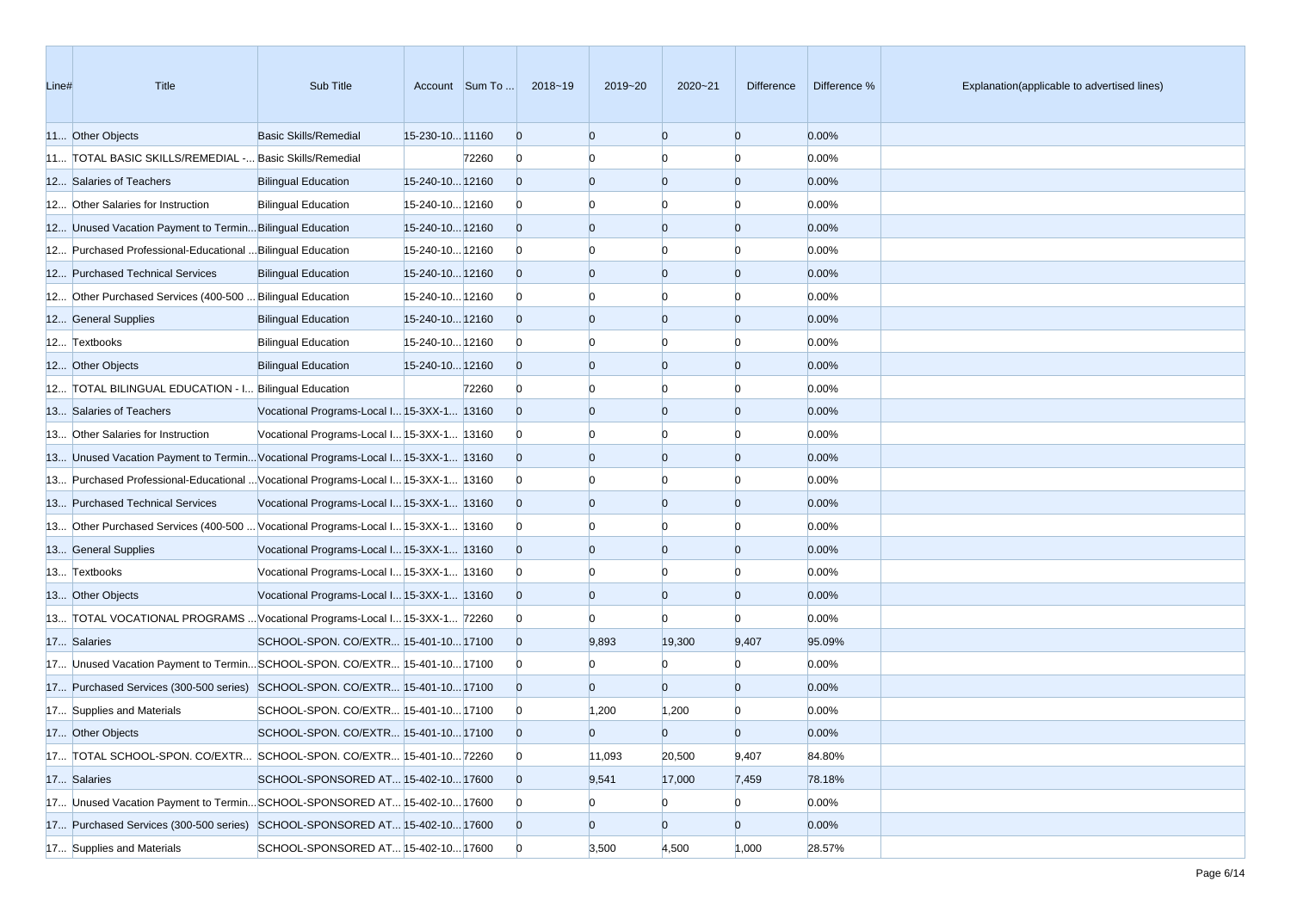| Line# | Title                                                                             | Sub Title                                  |                 | Account Sum To | 2018~19        | 2019~20        | $2020 - 21$    | <b>Difference</b> | Difference % | Explanation(applicable to advertised lines) |
|-------|-----------------------------------------------------------------------------------|--------------------------------------------|-----------------|----------------|----------------|----------------|----------------|-------------------|--------------|---------------------------------------------|
|       | 11 Other Objects                                                                  | <b>Basic Skills/Remedial</b>               | 15-230-10 11160 |                | $\overline{0}$ | $\overline{0}$ | $\overline{0}$ | $\overline{0}$    | 0.00%        |                                             |
|       | 11 TOTAL BASIC SKILLS/REMEDIAL - Basic Skills/Remedial                            |                                            |                 | 72260          | $\overline{0}$ | n              | $\Omega$       | n                 | 0.00%        |                                             |
|       | 12 Salaries of Teachers                                                           | <b>Bilingual Education</b>                 | 15-240-10 12160 |                | $\overline{0}$ | $\overline{0}$ | $\overline{0}$ | $\Omega$          | 0.00%        |                                             |
|       | 12 Other Salaries for Instruction                                                 | <b>Bilingual Education</b>                 | 15-240-10 12160 |                | $\mathbf{0}$   |                | $\Omega$       | n                 | 0.00%        |                                             |
|       | 12 Unused Vacation Payment to Termin Bilingual Education                          |                                            | 15-240-10 12160 |                | $\overline{0}$ | $\overline{0}$ | $\overline{0}$ | $\Omega$          | 0.00%        |                                             |
|       | 12 Purchased Professional-Educational  Bilingual Education                        |                                            | 15-240-10 12160 |                | $\mathbf{0}$   | $\Omega$       | $\Omega$       |                   | 0.00%        |                                             |
|       | 12 Purchased Technical Services                                                   | <b>Bilingual Education</b>                 | 15-240-10 12160 |                | $\overline{0}$ | $\overline{0}$ | $\overline{0}$ | $\Omega$          | 0.00%        |                                             |
|       | 12 Other Purchased Services (400-500  Bilingual Education                         |                                            | 15-240-10 12160 |                | $\mathbf{0}$   |                | 0              |                   | 0.00%        |                                             |
|       | 12 General Supplies                                                               | <b>Bilingual Education</b>                 | 15-240-10 12160 |                | $\overline{0}$ | $\Omega$       | $\overline{0}$ | $\Omega$          | 0.00%        |                                             |
|       | 12 Textbooks                                                                      | <b>Bilingual Education</b>                 | 15-240-10 12160 |                | $\mathbf{0}$   | $\Omega$       | $\Omega$       | $\Omega$          | 0.00%        |                                             |
|       | 12 Other Objects                                                                  | <b>Bilingual Education</b>                 | 15-240-10 12160 |                | $\overline{0}$ | $\overline{0}$ | $\overline{0}$ | $\Omega$          | 0.00%        |                                             |
|       | 12 TOTAL BILINGUAL EDUCATION - I Bilingual Education                              |                                            |                 | 72260          | $\bf{0}$       | $\Omega$       | $\Omega$       |                   | 0.00%        |                                             |
|       | 13 Salaries of Teachers                                                           | Vocational Programs-Local I 15-3XX-1 13160 |                 |                | $\overline{0}$ | $\Omega$       | $\overline{0}$ | $\Omega$          | 0.00%        |                                             |
|       | 13 Other Salaries for Instruction                                                 | Vocational Programs-Local I 15-3XX-1 13160 |                 |                | $\mathbf{0}$   |                | $\Omega$       |                   | 0.00%        |                                             |
|       | 13 Unused Vacation Payment to Termin Vocational Programs-Local I 15-3XX-1 13160   |                                            |                 |                | $\overline{0}$ | $\overline{0}$ | $\overline{0}$ | $\Omega$          | 0.00%        |                                             |
|       | 13 Purchased Professional-Educational  Vocational Programs-Local I 15-3XX-1 13160 |                                            |                 |                | $\mathbf{0}$   |                | $\Omega$       | n                 | 0.00%        |                                             |
|       | 13 Purchased Technical Services                                                   | Vocational Programs-Local I 15-3XX-1 13160 |                 |                | $\overline{0}$ | $\overline{0}$ | $\overline{0}$ | $\Omega$          | 0.00%        |                                             |
|       | 13 Other Purchased Services (400-500  Vocational Programs-Local I 15-3XX-1 13160  |                                            |                 |                | $\bf{0}$       | $\Omega$       | $\Omega$       |                   | 0.00%        |                                             |
|       | 13 General Supplies                                                               | Vocational Programs-Local I 15-3XX-1 13160 |                 |                | $\overline{0}$ | $\overline{0}$ | $\overline{0}$ | $\Omega$          | 0.00%        |                                             |
|       | 13 Textbooks                                                                      | Vocational Programs-Local I 15-3XX-1 13160 |                 |                | $\mathbf{0}$   |                | 0              |                   | 0.00%        |                                             |
|       | 13 Other Objects                                                                  | Vocational Programs-Local I 15-3XX-1 13160 |                 |                | $\overline{0}$ | $\Omega$       | $\overline{0}$ | $\Omega$          | 0.00%        |                                             |
|       | 13 TOTAL VOCATIONAL PROGRAMS  Vocational Programs-Local I 15-3XX-1 72260          |                                            |                 |                | $\mathbf{0}$   | $\Omega$       | $\Omega$       | $\Omega$          | 0.00%        |                                             |
|       | 17 Salaries                                                                       | SCHOOL-SPON. CO/EXTR 15-401-10 17100       |                 |                | $\overline{0}$ | 9,893          | 19,300         | 9,407             | 95.09%       |                                             |
|       | 17 Unused Vacation Payment to TerminSCHOOL-SPON. CO/EXTR 15-401-1017100           |                                            |                 |                | $\mathbf{0}$   |                | $\Omega$       |                   | 0.00%        |                                             |
|       | 17 Purchased Services (300-500 series) SCHOOL-SPON. CO/EXTR 15-401-10 17100       |                                            |                 |                | $\overline{0}$ | $\Omega$       | $\Omega$       | $\Omega$          | 0.00%        |                                             |
|       | 17 Supplies and Materials                                                         | SCHOOL-SPON. CO/EXTR 15-401-10 17100       |                 |                | $\bf{0}$       | 1,200          | 1,200          |                   | 0.00%        |                                             |
|       | 17 Other Objects                                                                  | SCHOOL-SPON. CO/EXTR 15-401-10 17100       |                 |                | $\Omega$       | $\Omega$       | $\Omega$       | $\Omega$          | 0.00%        |                                             |
|       | 17 TOTAL SCHOOL-SPON. CO/EXTR SCHOOL-SPON. CO/EXTR 15-401-10 72260                |                                            |                 |                | $\overline{0}$ | 11,093         | 20,500         | 9,407             | 84.80%       |                                             |
|       | 17 Salaries                                                                       | SCHOOL-SPONSORED AT 15-402-10 17600        |                 |                | $\overline{0}$ | 9,541          | 17,000         | 7,459             | 78.18%       |                                             |
|       | 17 Unused Vacation Payment to TerminSCHOOL-SPONSORED AT 15-402-10 17600           |                                            |                 |                | $\mathbf{0}$   | $\bf{0}$       | $\mathbf{0}$   | $\overline{0}$    | 0.00%        |                                             |
|       | 17 Purchased Services (300-500 series) SCHOOL-SPONSORED AT 15-402-10 17600        |                                            |                 |                | $\overline{0}$ | $\mathbf{0}$   | $\overline{0}$ | $\overline{0}$    | 0.00%        |                                             |
|       | 17 Supplies and Materials                                                         | SCHOOL-SPONSORED AT 15-402-10 17600        |                 |                | $\overline{0}$ | 3,500          | 4,500          | 1,000             | 28.57%       |                                             |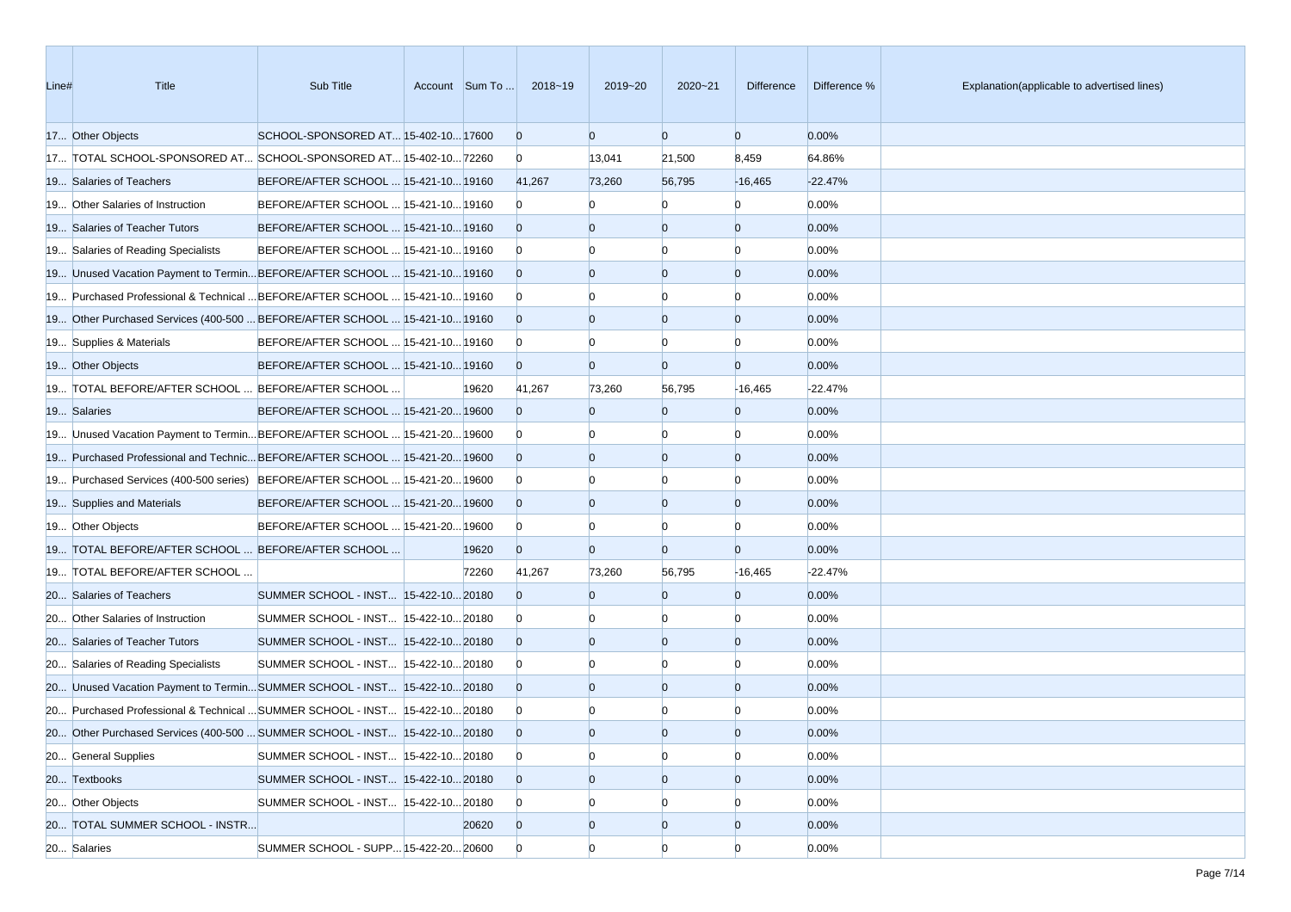| Line# | Title                                                                            | Sub Title                            | Account Sum To | 2018~19        | 2019~20        | $2020 - 21$    | <b>Difference</b> | Difference % | Explanation(applicable to advertised lines) |
|-------|----------------------------------------------------------------------------------|--------------------------------------|----------------|----------------|----------------|----------------|-------------------|--------------|---------------------------------------------|
|       | 17 Other Objects                                                                 | SCHOOL-SPONSORED AT 15-402-10 17600  |                | $\overline{0}$ | $\overline{0}$ | $\overline{0}$ | $\overline{0}$    | 0.00%        |                                             |
|       | 17 TOTAL SCHOOL-SPONSORED AT SCHOOL-SPONSORED AT 15-402-10 72260                 |                                      |                | $\overline{0}$ | 13,041         | 21,500         | 8,459             | 64.86%       |                                             |
|       | 19 Salaries of Teachers                                                          | BEFORE/AFTER SCHOOL  15-421-10 19160 |                | 41,267         | 73,260         | 56,795         | $-16,465$         | $-22.47%$    |                                             |
|       | 19 Other Salaries of Instruction                                                 | BEFORE/AFTER SCHOOL  15-421-10 19160 |                | $\mathbf{0}$   |                | $\Omega$       | $\Omega$          | 0.00%        |                                             |
|       | 19 Salaries of Teacher Tutors                                                    | BEFORE/AFTER SCHOOL  15-421-10 19160 |                | $\overline{0}$ | $\Omega$       | $\Omega$       | $\overline{0}$    | 0.00%        |                                             |
|       | 19 Salaries of Reading Specialists                                               | BEFORE/AFTER SCHOOL  15-421-10 19160 |                | $\overline{0}$ |                | $\Omega$       | $\Omega$          | 0.00%        |                                             |
|       | 19 Unused Vacation Payment to TerminBEFORE/AFTER SCHOOL  15-421-10 19160         |                                      |                | $\overline{0}$ | $\Omega$       | $\overline{0}$ | $\overline{0}$    | 0.00%        |                                             |
|       | 19 Purchased Professional & Technical  BEFORE/AFTER SCHOOL  15-421-10 19160      |                                      |                | $\overline{0}$ |                | n              | $\Omega$          | 0.00%        |                                             |
|       | 19 Other Purchased Services (400-500  BEFORE/AFTER SCHOOL  15-421-10 19160       |                                      |                | $\overline{0}$ | $\Omega$       | $\overline{0}$ | $\overline{0}$    | 0.00%        |                                             |
|       | 19 Supplies & Materials                                                          | BEFORE/AFTER SCHOOL  15-421-10 19160 |                | $\overline{0}$ |                | n              | $\Omega$          | 0.00%        |                                             |
|       | 19 Other Objects                                                                 | BEFORE/AFTER SCHOOL  15-421-10 19160 |                | $\overline{0}$ | $\Omega$       | $\overline{0}$ | $\overline{0}$    | 0.00%        |                                             |
|       | 19 TOTAL BEFORE/AFTER SCHOOL  BEFORE/AFTER SCHOOL                                |                                      | 19620          | 41,267         | 73,260         | 56,795         | $-16,465$         | $-22.47%$    |                                             |
|       | 19 Salaries                                                                      | BEFORE/AFTER SCHOOL  15-421-20 19600 |                | $\Omega$       | $\Omega$       | $\overline{0}$ | $\overline{0}$    | 0.00%        |                                             |
|       | 19 Unused Vacation Payment to Termin BEFORE/AFTER SCHOOL  15-421-20 19600        |                                      |                | $\overline{0}$ |                | $\Omega$       | $\Omega$          | 0.00%        |                                             |
|       | 19600 19 Purchased Professional and Technic BEFORE/AFTER SCHOOL  15-421-20 19600 |                                      |                | $\overline{0}$ | $\Omega$       | $\Omega$       | $\overline{0}$    | 0.00%        |                                             |
|       | 19 Purchased Services (400-500 series) BEFORE/AFTER SCHOOL  15-421-20 19600      |                                      |                | $\overline{0}$ |                |                | n                 | 0.00%        |                                             |
|       | 19 Supplies and Materials                                                        | BEFORE/AFTER SCHOOL  15-421-20 19600 |                | $\overline{0}$ | $\Omega$       | $\overline{0}$ | $\overline{0}$    | 0.00%        |                                             |
|       | 19 Other Objects                                                                 | BEFORE/AFTER SCHOOL  15-421-20 19600 |                | $\overline{0}$ |                | $\Omega$       | $\Omega$          | 0.00%        |                                             |
|       | 19 TOTAL BEFORE/AFTER SCHOOL  BEFORE/AFTER SCHOOL                                |                                      | 19620          | $\overline{0}$ | $\Omega$       | $\overline{0}$ | $\overline{0}$    | 0.00%        |                                             |
|       | 19 TOTAL BEFORE/AFTER SCHOOL                                                     |                                      | 72260          | 41,267         | 73,260         | 56,795         | $-16,465$         | $-22.47%$    |                                             |
|       | 20 Salaries of Teachers                                                          | SUMMER SCHOOL - INST 15-422-10 20180 |                | $\Omega$       | $\Omega$       | $\Omega$       | $\overline{0}$    | 0.00%        |                                             |
|       | 20 Other Salaries of Instruction                                                 | SUMMER SCHOOL - INST 15-422-10 20180 |                | $\overline{0}$ |                | n              | $\Omega$          | 0.00%        |                                             |
|       | 20 Salaries of Teacher Tutors                                                    | SUMMER SCHOOL - INST 15-422-10 20180 |                | $\overline{0}$ | $\Omega$       | $\Omega$       | $\overline{0}$    | 0.00%        |                                             |
|       | 20 Salaries of Reading Specialists                                               | SUMMER SCHOOL - INST 15-422-10 20180 |                | $\overline{0}$ |                | n              | $\Omega$          | 0.00%        |                                             |
|       | 20 Unused Vacation Payment to TerminSUMMER SCHOOL - INST 15-422-1020180          |                                      |                | $\overline{0}$ | $\Omega$       | $\overline{0}$ | $\overline{0}$    | 0.00%        |                                             |
|       | 20 Purchased Professional & Technical  SUMMER SCHOOL - INST 15-422-10 20180      |                                      |                | $\overline{0}$ |                |                |                   | 0.00%        |                                             |
|       | 20 Other Purchased Services (400-500  SUMMER SCHOOL - INST 15-422-10 20180       |                                      |                | $\overline{0}$ | $\Omega$       | $\Omega$       | $\Omega$          | 0.00%        |                                             |
|       | 20 General Supplies                                                              | SUMMER SCHOOL - INST 15-422-10 20180 |                | $\overline{0}$ | $\Omega$       | $\overline{0}$ | $\overline{0}$    | 0.00%        |                                             |
|       | 20 Textbooks                                                                     | SUMMER SCHOOL - INST 15-422-10 20180 |                | $\overline{0}$ | $\overline{0}$ | $\overline{0}$ | $\overline{0}$    | 0.00%        |                                             |
|       | 20 Other Objects                                                                 | SUMMER SCHOOL - INST 15-422-10 20180 |                | $\mathbf{0}$   | $\Omega$       | $\Omega$       |                   | 0.00%        |                                             |
|       | 20 TOTAL SUMMER SCHOOL - INSTR                                                   |                                      | 20620          | $\overline{0}$ | $\overline{0}$ | $\overline{0}$ | $\overline{0}$    | 0.00%        |                                             |
|       | 20 Salaries                                                                      | SUMMER SCHOOL - SUPP 15-422-20 20600 |                | $\overline{0}$ | $\overline{0}$ | $\Omega$       | $\Omega$          | 0.00%        |                                             |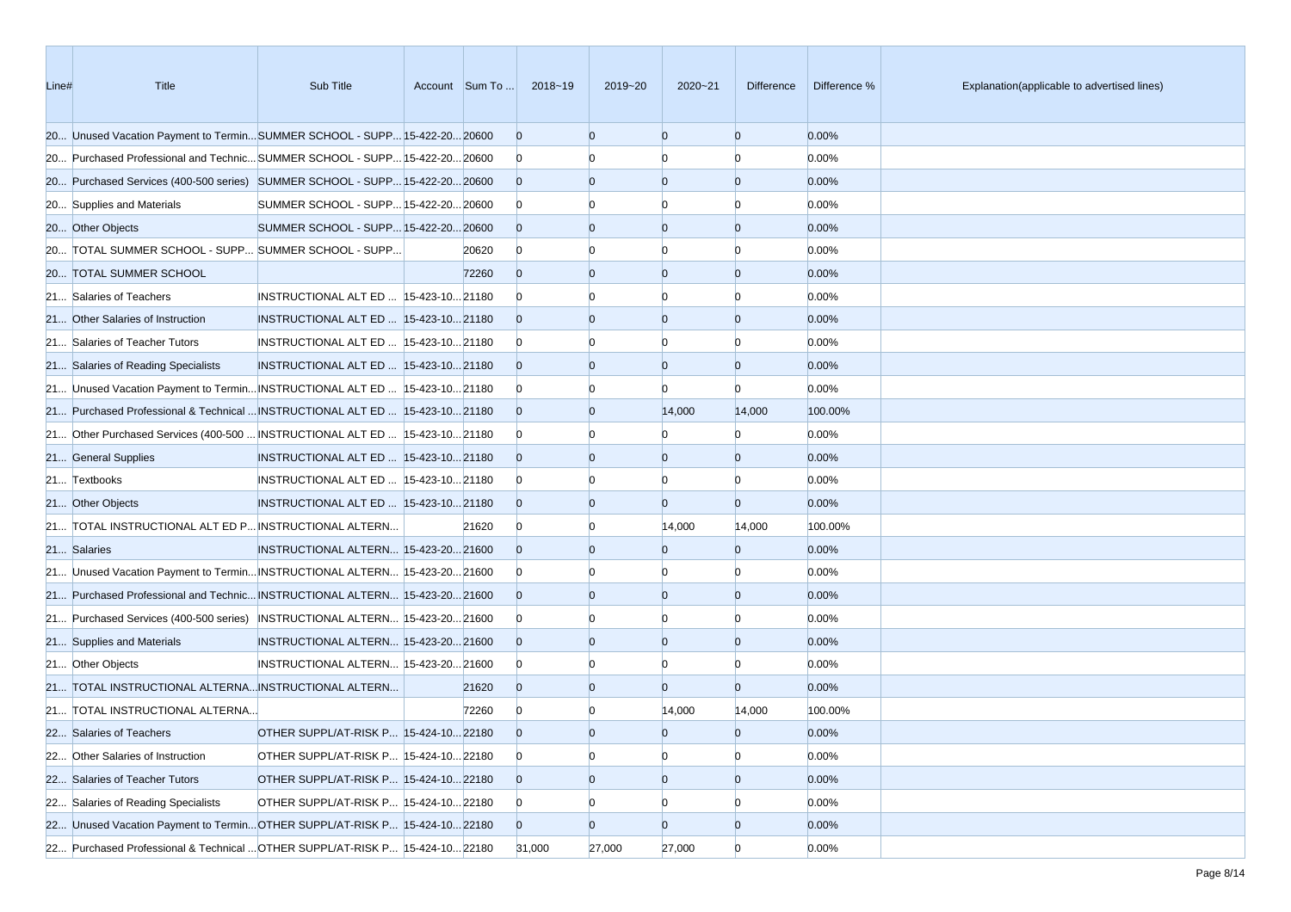| Line# | Title                                                                         | Sub Title                              | Account Sum To | 2018~19        | 2019~20        | $2020 - 21$    | <b>Difference</b> | Difference % | Explanation(applicable to advertised lines) |
|-------|-------------------------------------------------------------------------------|----------------------------------------|----------------|----------------|----------------|----------------|-------------------|--------------|---------------------------------------------|
|       | 20 Unused Vacation Payment to TerminSUMMER SCHOOL - SUPP 15-422-20 20600      |                                        |                | $\overline{0}$ | $\overline{0}$ | $\overline{0}$ | $\overline{0}$    | 0.00%        |                                             |
|       | 20 Purchased Professional and Technic SUMMER SCHOOL - SUPP 15-422-20 20600    |                                        |                | $\overline{0}$ | n              | n              | $\Omega$          | 0.00%        |                                             |
|       | 20 Purchased Services (400-500 series) SUMMER SCHOOL - SUPP 15-422-20 20600   |                                        |                | $\Omega$       | $\overline{0}$ | $\overline{0}$ | $\overline{0}$    | 0.00%        |                                             |
|       | 20 Supplies and Materials                                                     | SUMMER SCHOOL - SUPP 15-422-20 20600   |                | $\overline{0}$ |                |                | 0                 | 0.00%        |                                             |
|       | 20 Other Objects                                                              | SUMMER SCHOOL - SUPP 15-422-20 20600   |                | $\Omega$       | $\Omega$       | $\overline{0}$ | $\overline{0}$    | 0.00%        |                                             |
|       | 20 TOTAL SUMMER SCHOOL - SUPP SUMMER SCHOOL - SUPP                            |                                        | 20620          | $\overline{0}$ | $\Omega$       | $\Omega$       | $\Omega$          | 0.00%        |                                             |
|       | 20 TOTAL SUMMER SCHOOL                                                        |                                        | 72260          | $\overline{0}$ | $\overline{0}$ | $\overline{0}$ | $\overline{0}$    | 0.00%        |                                             |
|       | 21 Salaries of Teachers                                                       | INSTRUCTIONAL ALT ED   15-423-10 21180 |                | $\Omega$       | n              | n              | 0                 | 0.00%        |                                             |
|       | 21 Other Salaries of Instruction                                              | INSTRUCTIONAL ALT ED  15-423-10 21180  |                | $\Omega$       | $\Omega$       | $\overline{0}$ | $\overline{0}$    | 0.00%        |                                             |
|       | 21 Salaries of Teacher Tutors                                                 | INSTRUCTIONAL ALT ED  15-423-10 21180  |                | $\overline{0}$ |                | n              | $\Omega$          | 0.00%        |                                             |
|       | 21 Salaries of Reading Specialists                                            | INSTRUCTIONAL ALT ED  15-423-10 21180  |                | $\Omega$       | $\Omega$       | $\overline{0}$ | $\overline{0}$    | 0.00%        |                                             |
|       | 21 Unused Vacation Payment to Termin INSTRUCTIONAL ALT ED  15-423-10 21180    |                                        |                | $\overline{0}$ |                | n              | $\Omega$          | 0.00%        |                                             |
|       | 21 Purchased Professional & Technical  INSTRUCTIONAL ALT ED   15-423-10 21180 |                                        |                | $\overline{0}$ | $\overline{0}$ | 14,000         | 14,000            | 100.00%      |                                             |
|       | 21 Other Purchased Services (400-500  INSTRUCTIONAL ALT ED   15-423-10 21180  |                                        |                | $\overline{0}$ | $\Omega$       |                | $\Omega$          | 0.00%        |                                             |
|       | 21 General Supplies                                                           | INSTRUCTIONAL ALT ED  15-423-10 21180  |                | $\Omega$       | $\overline{0}$ | $\overline{0}$ | $\overline{0}$    | 0.00%        |                                             |
|       | 21 Textbooks                                                                  | INSTRUCTIONAL ALT ED   15-423-10 21180 |                | $\overline{0}$ |                |                | $\Omega$          | 0.00%        |                                             |
|       | 21 Other Objects                                                              | INSTRUCTIONAL ALT ED  15-423-10 21180  |                | $\Omega$       | $\Omega$       | $\overline{0}$ | $\overline{0}$    | 0.00%        |                                             |
|       | 21 TOTAL INSTRUCTIONAL ALT ED P INSTRUCTIONAL ALTERN                          |                                        | 21620          | $\overline{0}$ | $\Omega$       | 14,000         | 14,000            | 100.00%      |                                             |
|       | 21 Salaries                                                                   | INSTRUCTIONAL ALTERN 15-423-20 21600   |                | $\Omega$       | $\overline{0}$ | $\overline{0}$ | $\overline{0}$    | 0.00%        |                                             |
|       | 21 Unused Vacation Payment to Termin INSTRUCTIONAL ALTERN 15-423-20 21600     |                                        |                | $\overline{0}$ | $\Omega$       | n              | $\Omega$          | 0.00%        |                                             |
|       | 21 Purchased Professional and Technic INSTRUCTIONAL ALTERN 15-423-20 21600    |                                        |                | $\Omega$       | $\Omega$       | $\overline{0}$ | $\overline{0}$    | 0.00%        |                                             |
|       | 21 Purchased Services (400-500 series) INSTRUCTIONAL ALTERN 15-423-20 21600   |                                        |                | $\overline{0}$ |                | n              | $\Omega$          | 0.00%        |                                             |
|       | 21 Supplies and Materials                                                     | INSTRUCTIONAL ALTERN 15-423-20 21600   |                | $\Omega$       | $\overline{0}$ | $\overline{0}$ | $\overline{0}$    | 0.00%        |                                             |
|       | 21 Other Objects                                                              | INSTRUCTIONAL ALTERN 15-423-20 21600   |                | $\overline{0}$ | $\Omega$       | n              | $\Omega$          | 0.00%        |                                             |
|       | 21 TOTAL INSTRUCTIONAL ALTERNA INSTRUCTIONAL ALTERN                           |                                        | 21620          | $\Omega$       | $\overline{0}$ | $\overline{0}$ | $\overline{0}$    | 0.00%        |                                             |
|       | 21 TOTAL INSTRUCTIONAL ALTERNA                                                |                                        | 72260          | $\overline{0}$ | $\Omega$       | 14,000         | 14,000            | 100.00%      |                                             |
|       | 22 Salaries of Teachers                                                       | OTHER SUPPL/AT-RISK P 15-424-10 22180  |                | $\Omega$       | $\overline{0}$ | $\overline{0}$ | $\overline{0}$    | 0.00%        |                                             |
|       | 22 Other Salaries of Instruction                                              | OTHER SUPPL/AT-RISK P 15-424-10 22180  |                | $\overline{0}$ | $\overline{0}$ | $\overline{0}$ | $\overline{0}$    | 0.00%        |                                             |
|       | 22 Salaries of Teacher Tutors                                                 | OTHER SUPPL/AT-RISK P 15-424-10 22180  |                | $\overline{0}$ | $\overline{0}$ | $\overline{0}$ | $\overline{0}$    | 0.00%        |                                             |
|       | 22 Salaries of Reading Specialists                                            | OTHER SUPPL/AT-RISK P 15-424-10 22180  |                | $\overline{0}$ | $\overline{0}$ | $\Omega$       |                   | 0.00%        |                                             |
|       | 22 Unused Vacation Payment to TerminOTHER SUPPL/AT-RISK P 15-424-1022180      |                                        |                | $\overline{0}$ | $\overline{0}$ | $\overline{0}$ | $\overline{0}$    | 0.00%        |                                             |
|       | 22 Purchased Professional & Technical  OTHER SUPPL/AT-RISK P 15-424-10 22180  |                                        |                | 31,000         | 27,000         | 27,000         | $\overline{0}$    | 0.00%        |                                             |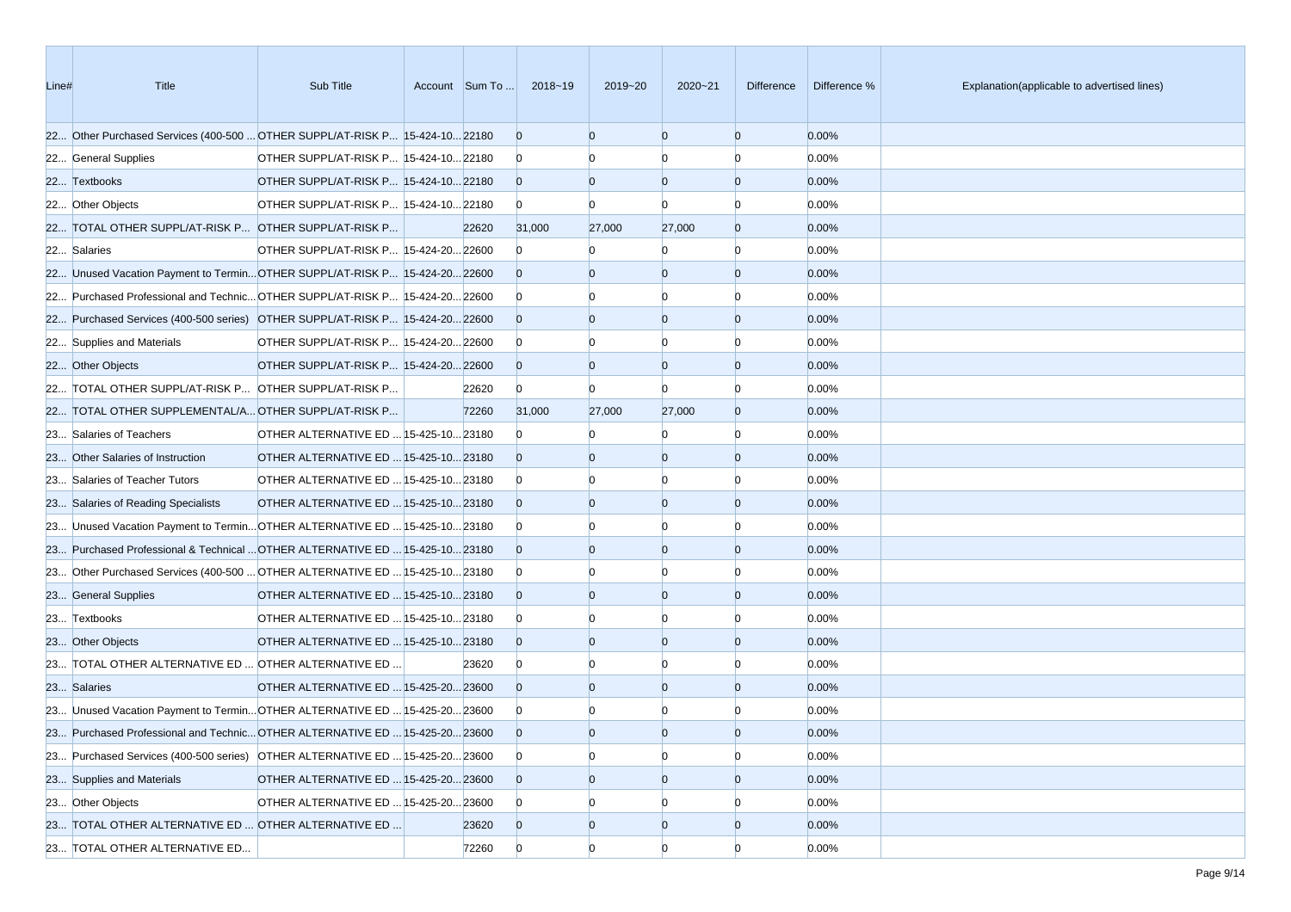| Line# | <b>Title</b>                                                                 | Sub Title                             | Account Sum To | 2018~19        | 2019~20        | $2020 - 21$    | Difference     | Difference % | Explanation(applicable to advertised lines) |
|-------|------------------------------------------------------------------------------|---------------------------------------|----------------|----------------|----------------|----------------|----------------|--------------|---------------------------------------------|
|       | 22 Other Purchased Services (400-500  OTHER SUPPL/AT-RISK P 15-424-10 22180  |                                       |                | $\overline{0}$ | $\Omega$       | $\overline{0}$ | $\overline{0}$ | 0.00%        |                                             |
|       | 22 General Supplies                                                          | OTHER SUPPL/AT-RISK P 15-424-10 22180 |                | $\overline{0}$ |                | $\Omega$       | n              | 0.00%        |                                             |
|       | 22 Textbooks                                                                 | OTHER SUPPL/AT-RISK P 15-424-10 22180 |                | $\overline{0}$ | $\Omega$       | $\overline{0}$ | $\overline{0}$ | 0.00%        |                                             |
|       | 22 Other Objects                                                             | OTHER SUPPL/AT-RISK P 15-424-10 22180 |                | $\overline{0}$ | n              | $\Omega$       | n              | 0.00%        |                                             |
|       | 22 TOTAL OTHER SUPPL/AT-RISK P OTHER SUPPL/AT-RISK P                         |                                       | 22620          | 31,000         | 27,000         | 27,000         | $\overline{0}$ | 0.00%        |                                             |
|       | 22 Salaries                                                                  | OTHER SUPPL/AT-RISK P 15-424-20 22600 |                | $\overline{0}$ |                | $\Omega$       | $\Omega$       | 0.00%        |                                             |
|       | 22 Unused Vacation Payment to TerminOTHER SUPPL/AT-RISK P 15-424-2022600     |                                       |                | $\overline{0}$ | $\Omega$       | $\overline{0}$ | $\overline{0}$ | 0.00%        |                                             |
|       | 22 Purchased Professional and Technic OTHER SUPPL/AT-RISK P 15-424-20 22600  |                                       |                | $\overline{0}$ |                | $\Omega$       | n              | 0.00%        |                                             |
|       | 22 Purchased Services (400-500 series) OTHER SUPPL/AT-RISK P 15-424-20 22600 |                                       |                | $\overline{0}$ | $\Omega$       | $\overline{0}$ | $\overline{0}$ | 0.00%        |                                             |
|       | 22 Supplies and Materials                                                    | OTHER SUPPL/AT-RISK P 15-424-20 22600 |                | $\overline{0}$ |                | $\Omega$       | n              | 0.00%        |                                             |
|       | 22 Other Objects                                                             | OTHER SUPPL/AT-RISK P 15-424-20 22600 |                | $\overline{0}$ | $\Omega$       | $\overline{0}$ | $\overline{0}$ | 0.00%        |                                             |
|       | 22 TOTAL OTHER SUPPL/AT-RISK P OTHER SUPPL/AT-RISK P                         |                                       | 22620          | $\overline{0}$ | $\Omega$       | $\Omega$       | n              | 0.00%        |                                             |
|       | 22 TOTAL OTHER SUPPLEMENTAL/A OTHER SUPPL/AT-RISK P                          |                                       | 72260          | 31,000         | 27,000         | 27,000         | $\overline{0}$ | 0.00%        |                                             |
|       | 23 Salaries of Teachers                                                      | OTHER ALTERNATIVE ED  15-425-10 23180 |                | $\Omega$       |                | $\Omega$       | $\Omega$       | 0.00%        |                                             |
|       | 23 Other Salaries of Instruction                                             | OTHER ALTERNATIVE ED  15-425-10 23180 |                | $\Omega$       | $\Omega$       | $\overline{0}$ | $\overline{0}$ | 0.00%        |                                             |
|       | 23 Salaries of Teacher Tutors                                                | OTHER ALTERNATIVE ED  15-425-10 23180 |                | $\overline{0}$ |                | n              | n              | 0.00%        |                                             |
|       | 23 Salaries of Reading Specialists                                           | OTHER ALTERNATIVE ED  15-425-10 23180 |                | $\overline{0}$ | $\Omega$       | $\overline{0}$ | $\overline{0}$ | 0.00%        |                                             |
|       | 23 Unused Vacation Payment to Termin OTHER ALTERNATIVE ED  15-425-10 23180   |                                       |                | $\overline{0}$ |                | $\Omega$       | n              | 0.00%        |                                             |
|       | 23 Purchased Professional & Technical  OTHER ALTERNATIVE ED  15-425-10 23180 |                                       |                | $\overline{0}$ | $\Omega$       | $\overline{0}$ | $\overline{0}$ | 0.00%        |                                             |
|       | 23 Other Purchased Services (400-500  OTHER ALTERNATIVE ED  15-425-10 23180  |                                       |                | $\overline{0}$ |                | $\Omega$       | n              | 0.00%        |                                             |
|       | 23 General Supplies                                                          | OTHER ALTERNATIVE ED  15-425-10 23180 |                | $\overline{0}$ | $\Omega$       | $\overline{0}$ | $\overline{0}$ | 0.00%        |                                             |
|       | 23 Textbooks                                                                 | OTHER ALTERNATIVE ED  15-425-10 23180 |                | $\overline{0}$ |                | $\Omega$       | n              | 0.00%        |                                             |
|       | 23 Other Objects                                                             | OTHER ALTERNATIVE ED  15-425-10 23180 |                | $\Omega$       | $\Omega$       | $\Omega$       | $\overline{0}$ | 0.00%        |                                             |
|       | 23 TOTAL OTHER ALTERNATIVE ED  OTHER ALTERNATIVE ED                          |                                       | 23620          | $\overline{0}$ |                | $\Omega$       | n              | 0.00%        |                                             |
|       | 23 Salaries                                                                  | OTHER ALTERNATIVE ED  15-425-20 23600 |                | $\overline{0}$ | $\Omega$       | $\overline{0}$ | $\overline{0}$ | 0.00%        |                                             |
|       | 23 Unused Vacation Payment to Termin OTHER ALTERNATIVE ED  15-425-20 23600   |                                       |                | $\mathbf{0}$   |                |                |                | 0.00%        |                                             |
|       | 23 Purchased Professional and Technic OTHER ALTERNATIVE ED  15-425-20 23600  |                                       |                | $\Omega$       |                | $\Omega$       | $\Omega$       | 0.00%        |                                             |
|       | 23 Purchased Services (400-500 series) OTHER ALTERNATIVE ED  15-425-20 23600 |                                       |                | $\overline{0}$ | $\Omega$       | $\overline{0}$ | $\Omega$       | 0.00%        |                                             |
|       | 23 Supplies and Materials                                                    | OTHER ALTERNATIVE ED  15-425-20 23600 |                | $\overline{0}$ | $\overline{0}$ | $\overline{0}$ | $\overline{0}$ | 0.00%        |                                             |
|       | 23 Other Objects                                                             | OTHER ALTERNATIVE ED  15-425-20 23600 |                | $\overline{0}$ | $\Omega$       | $\Omega$       |                | 0.00%        |                                             |
|       | 23 TOTAL OTHER ALTERNATIVE ED  OTHER ALTERNATIVE ED                          |                                       | 23620          | $\overline{0}$ | $\overline{0}$ | $\overline{0}$ | $\overline{0}$ | 0.00%        |                                             |
|       | 23 TOTAL OTHER ALTERNATIVE ED                                                |                                       | 72260          | $\overline{0}$ | $\overline{0}$ | $\overline{0}$ | $\Omega$       | 0.00%        |                                             |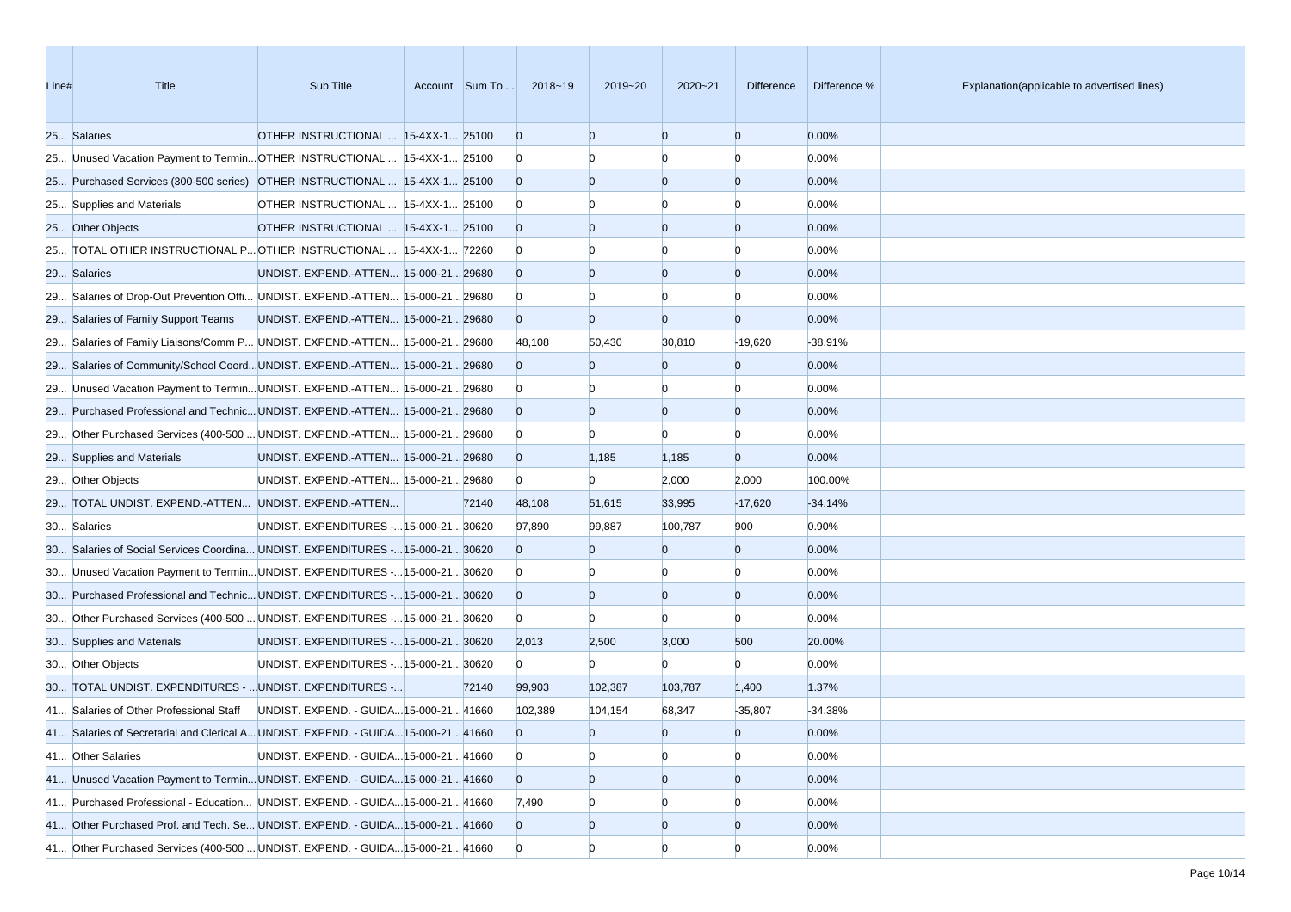| Line# | Title                                                                             | Sub Title                               | Account Sum To | 2018~19        | 2019~20        | 2020~21        | Difference     | Difference % | Explanation(applicable to advertised lines) |
|-------|-----------------------------------------------------------------------------------|-----------------------------------------|----------------|----------------|----------------|----------------|----------------|--------------|---------------------------------------------|
|       | 25 Salaries                                                                       | OTHER INSTRUCTIONAL  15-4XX-1 25100     |                | $\overline{0}$ | $\Omega$       | $\overline{0}$ | $\overline{0}$ | 0.00%        |                                             |
|       | 25 Unused Vacation Payment to Termin OTHER INSTRUCTIONAL  15-4XX-1 25100          |                                         |                | $\mathbf{0}$   |                | n              | n              | 0.00%        |                                             |
|       | 25 Purchased Services (300-500 series) OTHER INSTRUCTIONAL  15-4XX-1 25100        |                                         |                | $\overline{0}$ | $\Omega$       | $\overline{0}$ | $\overline{0}$ | 0.00%        |                                             |
|       | 25 Supplies and Materials                                                         | OTHER INSTRUCTIONAL  15-4XX-1 25100     |                | $\bf{0}$       |                | n              | n              | 0.00%        |                                             |
|       | 25 Other Objects                                                                  | OTHER INSTRUCTIONAL  15-4XX-1 25100     |                | $\overline{0}$ |                | $\overline{0}$ | $\overline{0}$ | 0.00%        |                                             |
|       | 25 TOTAL OTHER INSTRUCTIONAL P OTHER INSTRUCTIONAL  15-4XX-1 72260                |                                         |                | $\bf{0}$       |                | n              | n              | 0.00%        |                                             |
|       | 29 Salaries                                                                       | UNDIST. EXPEND.-ATTEN 15-000-21 29680   |                | $\overline{0}$ | $\Omega$       | $\overline{0}$ | $\overline{0}$ | 0.00%        |                                             |
|       | 29 Salaries of Drop-Out Prevention Offi UNDIST. EXPEND.-ATTEN 15-000-21 29680     |                                         |                | $\bf{0}$       |                |                | n              | 0.00%        |                                             |
|       | 29 Salaries of Family Support Teams                                               | UNDIST. EXPEND.-ATTEN 15-000-21 29680   |                | $\overline{0}$ | $\Omega$       | $\overline{0}$ | $\overline{0}$ | 0.00%        |                                             |
|       | 29 Salaries of Family Liaisons/Comm P UNDIST. EXPEND.-ATTEN 15-000-21 29680       |                                         |                | 48,108         | 50,430         | 30,810         | $-19,620$      | -38.91%      |                                             |
|       | 29 Salaries of Community/School CoordUNDIST. EXPEND.-ATTEN 15-000-2129680         |                                         |                | $\overline{0}$ | $\overline{0}$ | $\overline{0}$ | $\overline{0}$ | 0.00%        |                                             |
|       | 29 Unused Vacation Payment to Termin UNDIST. EXPEND.-ATTEN 15-000-21 29680        |                                         |                | $\bf{0}$       |                |                | n              | 0.00%        |                                             |
|       | 29 Purchased Professional and Technic UNDIST. EXPEND.-ATTEN 15-000-21 29680       |                                         |                | $\Omega$       | $\Omega$       | $\overline{0}$ | $\overline{0}$ | 0.00%        |                                             |
|       | 29 Other Purchased Services (400-500  UNDIST. EXPEND.-ATTEN  15-000-21 29680      |                                         |                | $\bf{0}$       |                | $\Omega$       | n              | 0.00%        |                                             |
|       | 29 Supplies and Materials                                                         | UNDIST. EXPEND.-ATTEN 15-000-21 29680   |                | $\overline{0}$ | 1,185          | 1,185          | $\overline{0}$ | 0.00%        |                                             |
|       | 29 Other Objects                                                                  | UNDIST. EXPEND.-ATTEN 15-000-21 29680   |                | $\bf{0}$       | $\overline{0}$ | 2,000          | 2,000          | 100.00%      |                                             |
|       | 29 TOTAL UNDIST. EXPEND.-ATTEN UNDIST. EXPEND.-ATTEN                              |                                         | 72140          | 48,108         | 51,615         | 33,995         | $-17,620$      | $-34.14%$    |                                             |
|       | 30 Salaries                                                                       | UNDIST. EXPENDITURES - 15-000-21 30620  |                | 97,890         | 99,887         | 100,787        | 900            | 0.90%        |                                             |
|       | 30 Salaries of Social Services Coordina UNDIST. EXPENDITURES - 15-000-21 30620    |                                         |                | $\overline{0}$ | $\Omega$       | $\overline{0}$ | $\overline{0}$ | 0.00%        |                                             |
|       | 30 Unused Vacation Payment to TerminUNDIST. EXPENDITURES - 15-000-21 30620        |                                         |                | $\bf{0}$       |                |                | n              | 0.00%        |                                             |
|       | 30 Purchased Professional and Technic UNDIST. EXPENDITURES - 15-000-21 30620      |                                         |                | $\overline{0}$ | $\Omega$       | $\overline{0}$ | $\overline{0}$ | 0.00%        |                                             |
|       | 30 Other Purchased Services (400-500  UNDIST. EXPENDITURES - 15-000-21 30620      |                                         |                | $\overline{0}$ | $\Omega$       | $\Omega$       | $\Omega$       | 0.00%        |                                             |
|       | 30 Supplies and Materials                                                         | UNDIST. EXPENDITURES - 15-000-21 30620  |                | 2,013          | 2,500          | 3,000          | 500            | 20.00%       |                                             |
|       | 30 Other Objects                                                                  | UNDIST. EXPENDITURES - 15-000-21 30620  |                | $\overline{0}$ | $\overline{0}$ | $\Omega$       | $\Omega$       | 0.00%        |                                             |
|       | 30 TOTAL UNDIST. EXPENDITURES -  UNDIST. EXPENDITURES -                           |                                         | 72140          | 99,903         | 102,387        | 103,787        | 1,400          | 1.37%        |                                             |
|       | 41 Salaries of Other Professional Staff                                           | UNDIST. EXPEND. - GUIDA 15-000-21 41660 |                | 102,389        | 104,154        | 68,347         | $-35,807$      | -34.38%      |                                             |
|       | 41 Salaries of Secretarial and Clerical A UNDIST. EXPEND. - GUIDA 15-000-21 41660 |                                         |                | $\Omega$       | $\overline{0}$ | $\overline{0}$ | $\overline{0}$ | 0.00%        |                                             |
|       | 41 Other Salaries                                                                 | UNDIST. EXPEND. - GUIDA 15-000-21 41660 |                | $\overline{0}$ | $\Omega$       | $\overline{0}$ | $\overline{0}$ | 0.00%        |                                             |
|       | 41 Unused Vacation Payment to Termin UNDIST. EXPEND. - GUIDA 15-000-21 41660      |                                         |                | $\overline{0}$ | $\overline{0}$ | $\overline{0}$ | $\overline{0}$ | 0.00%        |                                             |
|       | 41 Purchased Professional - Education UNDIST. EXPEND. - GUIDA 15-000-21 41660     |                                         |                | 7,490          | $\Omega$       |                |                | 0.00%        |                                             |
|       | 41 Other Purchased Prof. and Tech. Se UNDIST. EXPEND. - GUIDA 15-000-21 41660     |                                         |                | $\overline{0}$ | $\overline{0}$ | $\overline{0}$ | $\overline{0}$ | 0.00%        |                                             |
|       | 41 Other Purchased Services (400-500  UNDIST. EXPEND. - GUIDA 15-000-21 41660     |                                         |                | $\overline{0}$ | $\overline{0}$ | $\Omega$       | $\Omega$       | 0.00%        |                                             |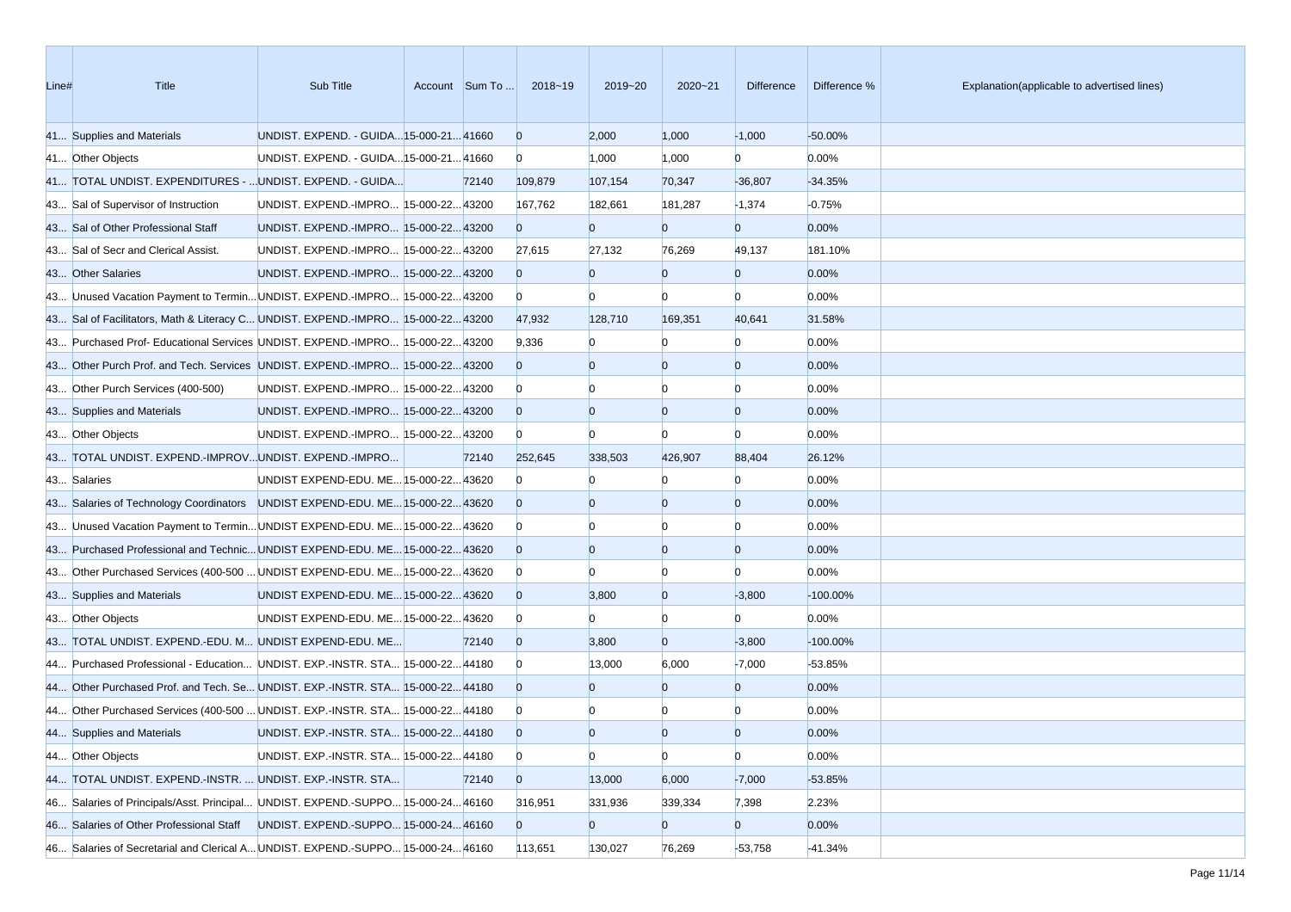| Line# | Title                                                                           | Sub Title                               | Account Sum To | 2018~19        | 2019~20        | $2020 - 21$    | <b>Difference</b> | Difference % | Explanation(applicable to advertised lines) |
|-------|---------------------------------------------------------------------------------|-----------------------------------------|----------------|----------------|----------------|----------------|-------------------|--------------|---------------------------------------------|
|       | 41 Supplies and Materials                                                       | UNDIST. EXPEND. - GUIDA 15-000-21 41660 |                | $\overline{0}$ | 2,000          | 1,000          | $-1,000$          | $-50.00%$    |                                             |
|       | 41 Other Objects                                                                | UNDIST. EXPEND. - GUIDA 15-000-21 41660 |                | $\mathbf{0}$   | 1,000          | 1,000          | $\overline{0}$    | 0.00%        |                                             |
|       | 41 TOTAL UNDIST. EXPENDITURES -  UNDIST. EXPEND. - GUIDA                        |                                         | 72140          | 109,879        | 107,154        | 70,347         | $-36,807$         | $-34.35%$    |                                             |
|       | 43 Sal of Supervisor of Instruction                                             | UNDIST. EXPEND.-IMPRO 15-000-2243200    |                | 167,762        | 182,661        | 181,287        | $-1,374$          | $-0.75%$     |                                             |
|       | 43 Sal of Other Professional Staff                                              | UNDIST. EXPEND.-IMPRO 15-000-22 43200   |                | $\Omega$       | $\mathbf{0}$   | $\overline{0}$ | $\overline{0}$    | 0.00%        |                                             |
|       | 43 Sal of Secr and Clerical Assist.                                             | UNDIST. EXPEND.-IMPRO 15-000-22 43200   |                | 27,615         | 27,132         | 76,269         | 49,137            | 181.10%      |                                             |
|       | 43 Other Salaries                                                               | UNDIST. EXPEND.-IMPRO 15-000-22 43200   |                | $\overline{0}$ | $\mathbf{0}$   | $\overline{0}$ | $\overline{0}$    | 0.00%        |                                             |
|       | 43 Unused Vacation Payment to Termin UNDIST. EXPEND.-IMPRO 15-000-22 43200      |                                         |                | $\mathbf{0}$   | $\Omega$       | $\Omega$       | $\Omega$          | 0.00%        |                                             |
|       | 43 Sal of Facilitators, Math & Literacy C UNDIST. EXPEND.-IMPRO 15-000-22 43200 |                                         |                | 47,932         | 128,710        | 169,351        | 40,641            | 31.58%       |                                             |
|       | 43 Purchased Prof- Educational Services UNDIST. EXPEND.-IMPRO 15-000-22 43200   |                                         |                | 9,336          |                |                | $\Omega$          | 0.00%        |                                             |
|       | 43 Other Purch Prof. and Tech. Services UNDIST. EXPEND.-IMPRO 15-000-22 43200   |                                         |                | $\overline{0}$ | $\Omega$       | $\overline{0}$ | $\overline{0}$    | 0.00%        |                                             |
|       | 43 Other Purch Services (400-500)                                               | UNDIST. EXPEND.-IMPRO 15-000-2243200    |                | $\overline{0}$ |                |                | $\Omega$          | 0.00%        |                                             |
|       | 43 Supplies and Materials                                                       | UNDIST. EXPEND.-IMPRO 15-000-22 43200   |                | $\overline{0}$ | $\Omega$       | $\overline{0}$ | $\overline{0}$    | 0.00%        |                                             |
|       | 43 Other Objects                                                                | UNDIST. EXPEND.-IMPRO 15-000-22 43200   |                | $\mathbf{0}$   | $\Omega$       | $\Omega$       | $\Omega$          | 0.00%        |                                             |
|       | 43 TOTAL UNDIST. EXPEND.-IMPROVUNDIST. EXPEND.-IMPRO                            |                                         | 72140          | 252,645        | 338,503        | 426,907        | 88,404            | 26.12%       |                                             |
|       | 43 Salaries                                                                     | UNDIST EXPEND-EDU. ME 15-000-22 43620   |                | $\overline{0}$ |                |                | $\Omega$          | 0.00%        |                                             |
|       | 43 Salaries of Technology Coordinators UNDIST EXPEND-EDU. ME 15-000-22 43620    |                                         |                | $\overline{0}$ |                | $\Omega$       | $\overline{0}$    | 0.00%        |                                             |
|       | 43 Unused Vacation Payment to Termin UNDIST EXPEND-EDU. ME 15-000-22 43620      |                                         |                | $\overline{0}$ |                | n              | $\Omega$          | 0.00%        |                                             |
|       | 43 Purchased Professional and Technic UNDIST EXPEND-EDU. ME 15-000-22 43620     |                                         |                | $\overline{0}$ | $\Omega$       | $\overline{0}$ | $\overline{0}$    | 0.00%        |                                             |
|       | 43 Other Purchased Services (400-500  UNDIST EXPEND-EDU. ME 15-000-22 43620     |                                         |                | $\mathbf{0}$   |                | $\Omega$       | $\Omega$          | 0.00%        |                                             |
|       | 43 Supplies and Materials                                                       | UNDIST EXPEND-EDU. ME 15-000-22 43620   |                | $\overline{0}$ | 3,800          | $\overline{0}$ | $-3,800$          | $-100.00\%$  |                                             |
|       | 43 Other Objects                                                                | UNDIST EXPEND-EDU. ME 15-000-22 43620   |                | $\mathbf{0}$   | $\Omega$       | $\overline{0}$ | $\Omega$          | 0.00%        |                                             |
|       | 43 TOTAL UNDIST. EXPEND.-EDU. M UNDIST EXPEND-EDU. ME                           |                                         | 72140          | $\overline{0}$ | 3,800          | $\overline{0}$ | $-3,800$          | $-100.00\%$  |                                             |
|       | 44 Purchased Professional - Education UNDIST. EXP.-INSTR. STA 15-000-22 44180   |                                         |                | $\overline{0}$ | 13,000         | 6,000          | $-7,000$          | -53.85%      |                                             |
|       | 44 Other Purchased Prof. and Tech. Se UNDIST. EXP.-INSTR. STA 15-000-22 44180   |                                         |                | $\overline{0}$ | $\Omega$       | $\overline{0}$ | $\overline{0}$    | 0.00%        |                                             |
|       | 44 Other Purchased Services (400-500  UNDIST. EXP.-INSTR. STA 15-000-22 44180   |                                         |                | $\bf{0}$       |                |                | $\Omega$          | 0.00%        |                                             |
|       | 44 Supplies and Materials                                                       | UNDIST. EXP.-INSTR. STA 15-000-22 44180 |                | $\overline{0}$ | $\Omega$       | $\Omega$       | $\Omega$          | 0.00%        |                                             |
|       | 44 Other Objects                                                                | UNDIST. EXP.-INSTR. STA 15-000-22 44180 |                | $\mathbf{0}$   | $\bf{0}$       | $\overline{0}$ | $\overline{0}$    | 0.00%        |                                             |
|       | 44 TOTAL UNDIST. EXPEND.-INSTR.  UNDIST. EXP.-INSTR. STA                        |                                         | 72140          | $\overline{0}$ | 13,000         | 6,000          | $-7,000$          | $-53.85%$    |                                             |
|       | 46 Salaries of Principals/Asst. Principal UNDIST. EXPEND.-SUPPO 15-000-2446160  |                                         |                | 316,951        | 331,936        | 339,334        | 7,398             | 2.23%        |                                             |
|       | 46 Salaries of Other Professional Staff                                         | UNDIST. EXPEND.-SUPPO 15-000-24 46160   |                | $\overline{0}$ | $\overline{0}$ | $\overline{0}$ | $\overline{0}$    | 0.00%        |                                             |
|       | 46 Salaries of Secretarial and Clerical A UNDIST. EXPEND.-SUPPO 15-000-24 46160 |                                         |                | 113,651        | 130,027        | 76,269         | $-53,758$         | $-41.34%$    |                                             |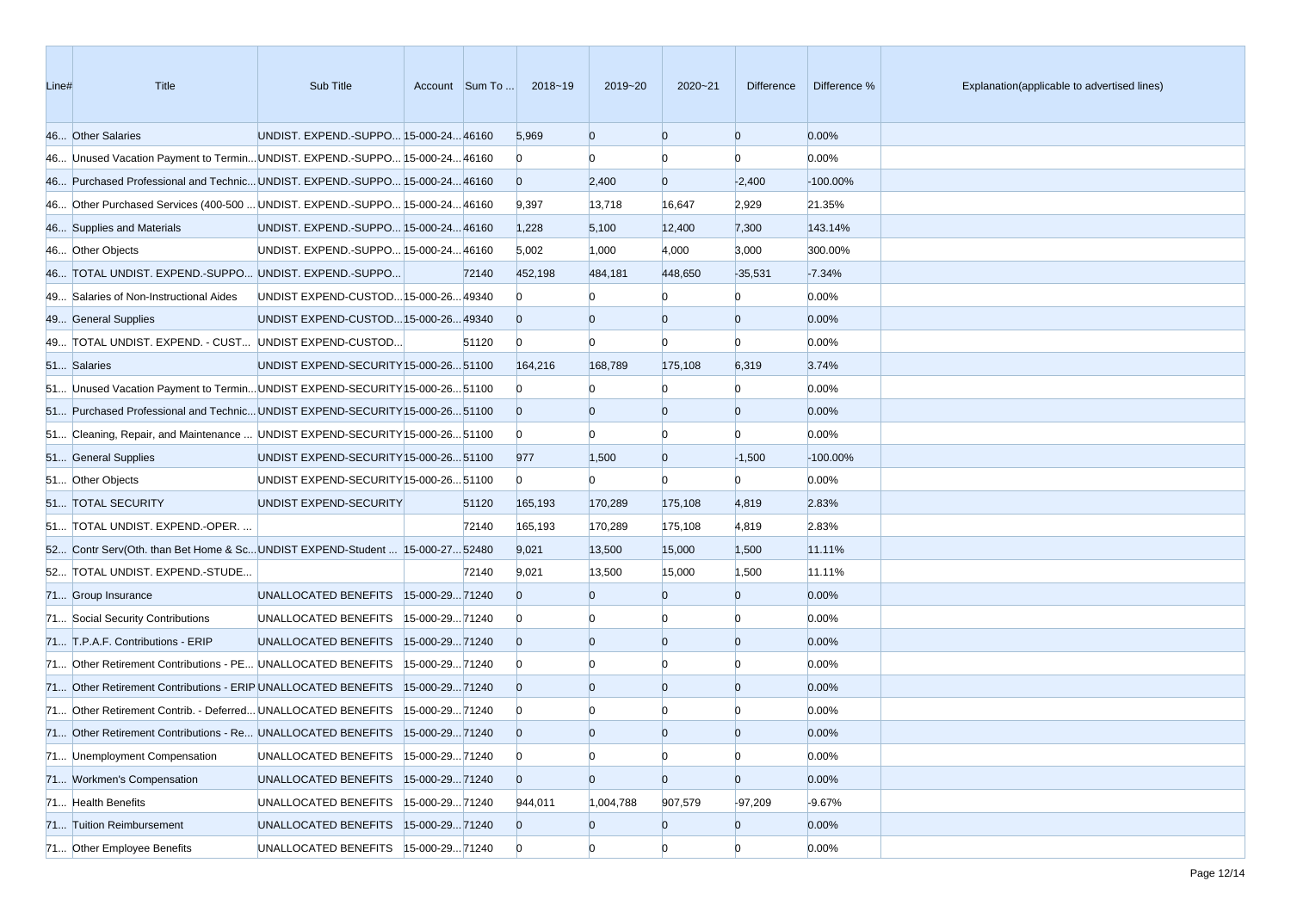| Line# | Title                                                                         | Sub Title                              |                |       | Account Sum To  2018~19 | 2019~20        | $2020 - 21$    | Difference     | Difference % | Explanation(applicable to advertised lines) |
|-------|-------------------------------------------------------------------------------|----------------------------------------|----------------|-------|-------------------------|----------------|----------------|----------------|--------------|---------------------------------------------|
|       | 46 Other Salaries                                                             | UNDIST. EXPEND.-SUPPO 15-000-24 46160  |                |       | 5,969                   | $\overline{0}$ | $\overline{0}$ | $\overline{0}$ | 0.00%        |                                             |
|       | 46 Unused Vacation Payment to Termin UNDIST. EXPEND.-SUPPO 15-000-24 46160    |                                        |                |       | $\overline{0}$          | $\Omega$       | $\Omega$       | $\Omega$       | 0.00%        |                                             |
|       | 46 Purchased Professional and Technic UNDIST. EXPEND.-SUPPO 15-000-24 46160   |                                        |                |       | $\overline{0}$          | 2,400          | $\overline{0}$ | $-2,400$       | $-100.00\%$  |                                             |
|       | 46 Other Purchased Services (400-500  UNDIST. EXPEND.-SUPPO 15-000-24 46160   |                                        |                |       | 9,397                   | 13,718         | 16,647         | 2,929          | 21.35%       |                                             |
|       | 46 Supplies and Materials                                                     | UNDIST. EXPEND.-SUPPO 15-000-24 46160  |                |       | 1,228                   | 5,100          | 12,400         | 7,300          | 143.14%      |                                             |
|       | 46 Other Objects                                                              | UNDIST. EXPEND.-SUPPO 15-000-24 46160  |                |       | 5,002                   | 1,000          | 4,000          | 3,000          | 300.00%      |                                             |
|       | 46 TOTAL UNDIST. EXPEND.-SUPPO UNDIST. EXPEND.-SUPPO                          |                                        |                | 72140 | 452,198                 | 484,181        | 448,650        | $-35,531$      | $-7.34%$     |                                             |
|       | 49 Salaries of Non-Instructional Aides                                        | UNDIST EXPEND-CUSTOD 15-000-26 49340   |                |       | $\mathbf{0}$            |                |                | $\Omega$       | 0.00%        |                                             |
|       | 49 General Supplies                                                           | UNDIST EXPEND-CUSTOD 15-000-26 49340   |                |       | $\overline{0}$          | $\Omega$       | $\overline{0}$ | $\overline{0}$ | 0.00%        |                                             |
|       | 49 TOTAL UNDIST. EXPEND. - CUST UNDIST EXPEND-CUSTOD                          |                                        |                | 51120 | $\overline{0}$          | $\Omega$       | $\Omega$       | $\Omega$       | 0.00%        |                                             |
|       | 51 Salaries                                                                   | UNDIST EXPEND-SECURITY 15-000-26 51100 |                |       | 164,216                 | 168,789        | 175,108        | 6,319          | 3.74%        |                                             |
|       | 51 Unused Vacation Payment to Termin UNDIST EXPEND-SECURITY 15-000-26 51100   |                                        |                |       | $\overline{0}$          |                | $\Omega$       | $\Omega$       | 0.00%        |                                             |
|       | 51 Purchased Professional and Technic UNDIST EXPEND-SECURITY 15-000-26 51100  |                                        |                |       | $\overline{0}$          | $\Omega$       | $\overline{0}$ | $\overline{0}$ | 0.00%        |                                             |
|       | 51 Cleaning, Repair, and Maintenance  UNDIST EXPEND-SECURITY [15-000-26 51100 |                                        |                |       | $\overline{0}$          | $\Omega$       | $\overline{0}$ | $\Omega$       | 0.00%        |                                             |
|       | 51 General Supplies                                                           | UNDIST EXPEND-SECURITY 15-000-26 51100 |                |       | 977                     | 1,500          | $\overline{0}$ | $-1,500$       | $-100.00\%$  |                                             |
|       | 51 Other Objects                                                              | UNDIST EXPEND-SECURITY 15-000-26 51100 |                |       | $\overline{0}$          | $\overline{0}$ | $\Omega$       | $\Omega$       | 0.00%        |                                             |
|       | 51 TOTAL SECURITY                                                             | UNDIST EXPEND-SECURITY                 |                | 51120 | 165,193                 | 170,289        | 175,108        | 4,819          | 2.83%        |                                             |
|       | 51 TOTAL UNDIST. EXPEND.-OPER.                                                |                                        |                | 72140 | 165,193                 | 170,289        | 175,108        | 4,819          | 2.83%        |                                             |
|       | 52 Contr Serv(Oth. than Bet Home & ScUNDIST EXPEND-Student  15-000-27 52480   |                                        |                |       | 9,021                   | 13,500         | 15,000         | 1,500          | 11.11%       |                                             |
|       | 52 TOTAL UNDIST. EXPEND.-STUDE                                                |                                        |                | 72140 | 9,021                   | 13,500         | 15,000         | 1,500          | 11.11%       |                                             |
|       | 71 Group Insurance                                                            | UNALLOCATED BENEFITS   15-000-29 71240 |                |       | $\Omega$                | $\Omega$       | $\Omega$       | $\overline{0}$ | 0.00%        |                                             |
|       | 71 Social Security Contributions                                              | UNALLOCATED BENEFITS                   | 15-000-2971240 |       | $\overline{0}$          |                |                | $\Omega$       | 0.00%        |                                             |
|       | 71 T.P.A.F. Contributions - ERIP                                              | UNALLOCATED BENEFITS 15-000-2971240    |                |       | $\overline{0}$          | $\Omega$       | $\overline{0}$ | $\overline{0}$ | 0.00%        |                                             |
|       | 71 Other Retirement Contributions - PE UNALLOCATED BENEFITS                   |                                        | 15-000-2971240 |       | $\overline{0}$          |                | $\Omega$       | $\Omega$       | 0.00%        |                                             |
|       | 71 Other Retirement Contributions - ERIP UNALLOCATED BENEFITS                 |                                        | 15-000-2971240 |       | $\overline{0}$          | $\Omega$       | $\overline{0}$ | $\overline{0}$ | 0.00%        |                                             |
|       | 71 Other Retirement Contrib. - Deferred UNALLOCATED BENEFITS                  |                                        | 15-000-2971240 |       | $\bf{0}$                |                |                |                | 0.00%        |                                             |
|       | 71 Other Retirement Contributions - Re UNALLOCATED BENEFITS  15-000-29 71240  |                                        |                |       | $\overline{0}$          | $\Omega$       | $\Omega$       | $\Omega$       | 0.00%        |                                             |
|       | 71 Unemployment Compensation                                                  | UNALLOCATED BENEFITS                   | 15-000-2971240 |       | $\mathbf{0}$            | $\overline{0}$ | $\overline{0}$ | $\overline{0}$ | 0.00%        |                                             |
|       | 71 Workmen's Compensation                                                     | UNALLOCATED BENEFITS                   | 15-000-2971240 |       | $\overline{0}$          | $\overline{0}$ | $\overline{0}$ | $\overline{0}$ | 0.00%        |                                             |
|       | 71 Health Benefits                                                            | UNALLOCATED BENEFITS                   | 15-000-2971240 |       | 944,011                 | 1,004,788      | 907,579        | $-97,209$      | $-9.67%$     |                                             |
|       | 71 Tuition Reimbursement                                                      | UNALLOCATED BENEFITS 15-000-29 71240   |                |       | $\overline{0}$          | $\bf{0}$       | $\overline{0}$ | $\overline{0}$ | 0.00%        |                                             |
|       | 71 Other Employee Benefits                                                    | UNALLOCATED BENEFITS  15-000-29 71240  |                |       | $\overline{0}$          | $\overline{0}$ | $\overline{0}$ | $\overline{0}$ | 0.00%        |                                             |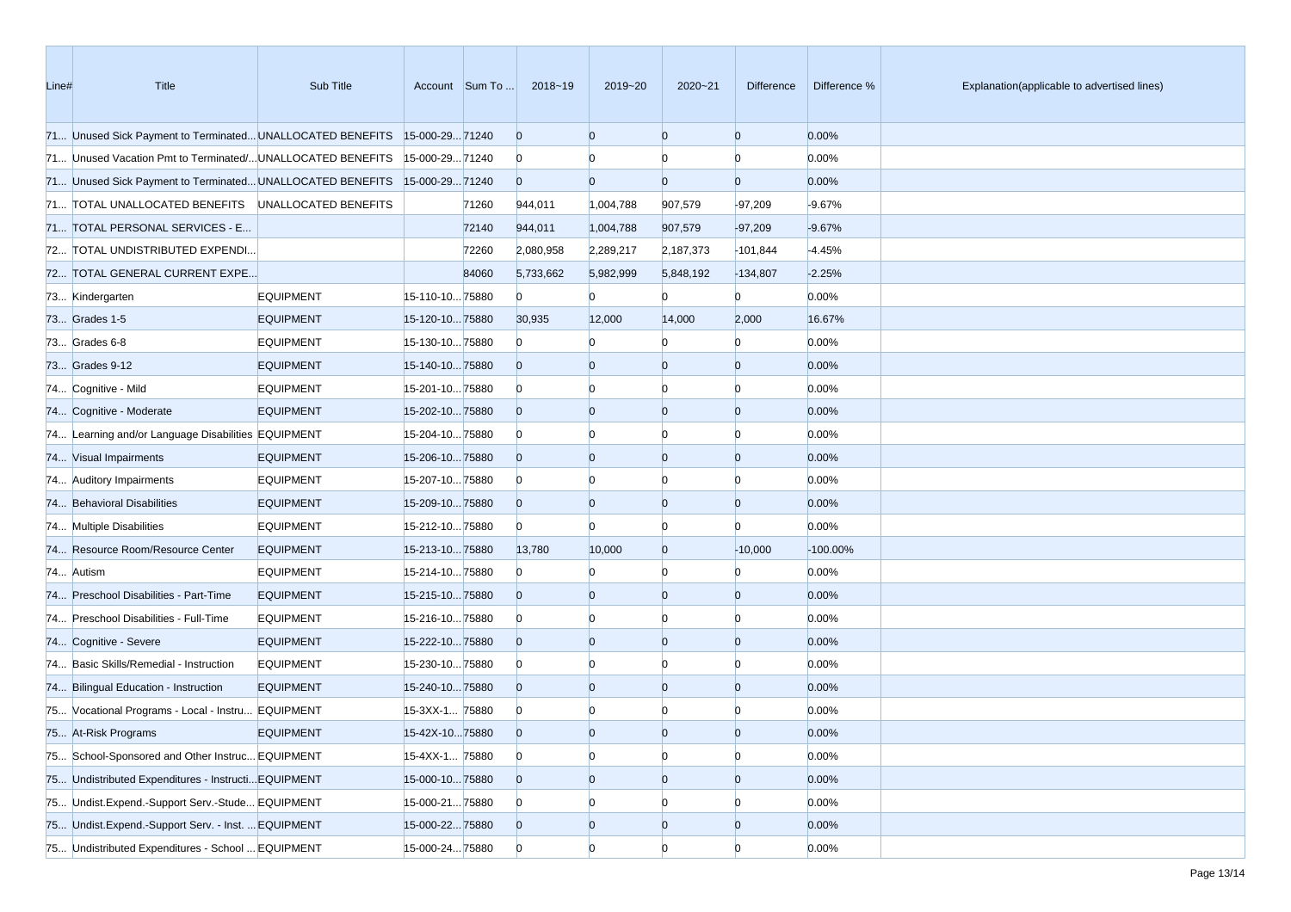| Line# | Title                                                                     | Sub Title        |                 | Account Sum To | 2018~19                 | 2019~20        | 2020~21        | Difference     | Difference % | Explanation(applicable to advertised lines) |
|-------|---------------------------------------------------------------------------|------------------|-----------------|----------------|-------------------------|----------------|----------------|----------------|--------------|---------------------------------------------|
|       | 71 Unused Sick Payment to Terminated UNALLOCATED BENEFITS 15-000-29 71240 |                  |                 |                | $\overline{0}$          | $\Omega$       | $\overline{0}$ | $\overline{0}$ | 0.00%        |                                             |
|       | 71 Unused Vacation Pmt to Terminated/UNALLOCATED BENEFITS                 |                  | 15-000-2971240  |                | $\mathbf{0}$            |                |                | $\Omega$       | 0.00%        |                                             |
|       | 71 Unused Sick Payment to Terminated UNALLOCATED BENEFITS 15-000-29 71240 |                  |                 |                | $\overline{0}$          | $\Omega$       | $\overline{0}$ | $\mathbf{0}$   | 0.00%        |                                             |
|       | 71 TOTAL UNALLOCATED BENEFITS UNALLOCATED BENEFITS                        |                  |                 | 71260          | 944,011                 | 1,004,788      | 907,579        | $-97,209$      | $-9.67%$     |                                             |
|       | 71 TOTAL PERSONAL SERVICES - E                                            |                  |                 | 72140          | 944,011                 | 1,004,788      | 907,579        | $-97,209$      | $-9.67%$     |                                             |
|       | 72 TOTAL UNDISTRIBUTED EXPENDI                                            |                  |                 | 72260          | 2,080,958               | 2,289,217      | 2,187,373      | $-101,844$     | $-4.45%$     |                                             |
|       | 72 TOTAL GENERAL CURRENT EXPE                                             |                  |                 | 84060          | 5,733,662               | 5,982,999      | 5,848,192      | $-134,807$     | $-2.25%$     |                                             |
|       | 73 Kindergarten                                                           | <b>EQUIPMENT</b> | 15-110-1075880  |                | $\mathbf{0}$            | $\overline{0}$ | $\Omega$       | $\overline{0}$ | 0.00%        |                                             |
|       | 73 Grades 1-5                                                             | <b>EQUIPMENT</b> | 15-120-1075880  |                | 30,935                  | 12,000         | 14,000         | 2,000          | 16.67%       |                                             |
|       | 73 Grades 6-8                                                             | <b>EQUIPMENT</b> | 15-130-1075880  |                | $\mathbf{0}$            |                |                | $\Omega$       | 0.00%        |                                             |
|       | 73 Grades 9-12                                                            | <b>EQUIPMENT</b> | 15-140-1075880  |                | $\overline{0}$          | $\overline{0}$ | $\overline{0}$ | $\overline{0}$ | 0.00%        |                                             |
|       | 74 Cognitive - Mild                                                       | <b>EQUIPMENT</b> | 15-201-1075880  |                | $\mathbf{0}$            |                |                | $\Omega$       | 0.00%        |                                             |
|       | 74 Cognitive - Moderate                                                   | <b>EQUIPMENT</b> | 15-202-1075880  |                | $\overline{0}$          | $\Omega$       | $\overline{0}$ | $\overline{0}$ | 0.00%        |                                             |
|       | 74 Learning and/or Language Disabilities EQUIPMENT                        |                  | 15-204-1075880  |                | $\mathbf{0}$            |                | $\Omega$       | $\Omega$       | 0.00%        |                                             |
|       | 74 Visual Impairments                                                     | <b>EQUIPMENT</b> | 15-206-1075880  |                | $\overline{0}$          | $\overline{0}$ | $\overline{0}$ | $\overline{0}$ | 0.00%        |                                             |
|       | 74 Auditory Impairments                                                   | <b>EQUIPMENT</b> | 15-207-1075880  |                | $\mathbf{0}$            |                |                | $\Omega$       | 0.00%        |                                             |
|       | 74 Behavioral Disabilities                                                | <b>EQUIPMENT</b> | 15-209-1075880  |                | $\overline{0}$          | $\overline{0}$ | $\overline{0}$ | $\Omega$       | 0.00%        |                                             |
|       | 74 Multiple Disabilities                                                  | <b>EQUIPMENT</b> | 15-212-1075880  |                | $\mathbf{0}$            | $\Omega$       | $\overline{0}$ | $\Omega$       | 0.00%        |                                             |
|       | 74 Resource Room/Resource Center                                          | <b>EQUIPMENT</b> | 15-213-1075880  |                | 13,780                  | 10,000         | $\overline{0}$ | $-10,000$      | $-100.00\%$  |                                             |
|       | 74 Autism                                                                 | <b>EQUIPMENT</b> | 15-214-1075880  |                | $\overline{0}$          |                |                | $\Omega$       | 0.00%        |                                             |
|       | 74 Preschool Disabilities - Part-Time                                     | <b>EQUIPMENT</b> | 15-215-1075880  |                | $\overline{0}$          | $\Omega$       | $\overline{0}$ | $\Omega$       | 0.00%        |                                             |
|       | 74 Preschool Disabilities - Full-Time                                     | <b>EQUIPMENT</b> | 15-216-1075880  |                | $\mathbf{0}$            |                |                | $\Omega$       | 0.00%        |                                             |
|       | 74 Cognitive - Severe                                                     | <b>EQUIPMENT</b> | 15-222-1075880  |                | $\overline{0}$          | $\overline{0}$ | $\overline{0}$ | $\overline{0}$ | 0.00%        |                                             |
|       | 74 Basic Skills/Remedial - Instruction                                    | <b>EQUIPMENT</b> | 15-230-1075880  |                | $\mathbf{0}$            |                | $\Omega$       | $\Omega$       | 0.00%        |                                             |
|       | 74 Bilingual Education - Instruction                                      | <b>EQUIPMENT</b> | 15-240-1075880  |                | $\overline{0}$          | $\Omega$       | $\overline{0}$ | $\Omega$       | 0.00%        |                                             |
|       | 75 Vocational Programs - Local - Instru EQUIPMENT                         |                  | 15-3XX-1 75880  |                | $\bf{0}$                |                |                |                | 0.00%        |                                             |
|       | 75 At-Risk Programs                                                       | <b>EQUIPMENT</b> | 15-42X-1075880  |                | $\overline{0}$          | $\Omega$       | $\Omega$       | $\Omega$       | 0.00%        |                                             |
|       | 75 School-Sponsored and Other Instruc EQUIPMENT                           |                  | 15-4XX-1 75880  |                | $\overline{0}$          | $\overline{0}$ | $\overline{0}$ | $\overline{0}$ | 0.00%        |                                             |
|       | 75 Undistributed Expenditures - Instructi EQUIPMENT                       |                  | 15-000-1075880  |                | $\mathbf{0}$            | $\overline{0}$ | $\overline{0}$ | $\overline{0}$ | 0.00%        |                                             |
|       | 75 Undist.Expend.-Support Serv.-Stude EQUIPMENT                           |                  | 15-000-21 75880 |                | $\overline{\mathbf{0}}$ | $\overline{0}$ |                |                | 0.00%        |                                             |
|       | 75 Undist.Expend.-Support Serv. - Inst.  EQUIPMENT                        |                  | 15-000-2275880  |                | $\overline{0}$          | $\overline{0}$ | $\overline{0}$ | $\overline{0}$ | 0.00%        |                                             |
|       | 75 Undistributed Expenditures - School  EQUIPMENT                         |                  | 15-000-24 75880 |                | $\overline{0}$          | $\overline{0}$ | $\overline{0}$ | $\overline{0}$ | 0.00%        |                                             |